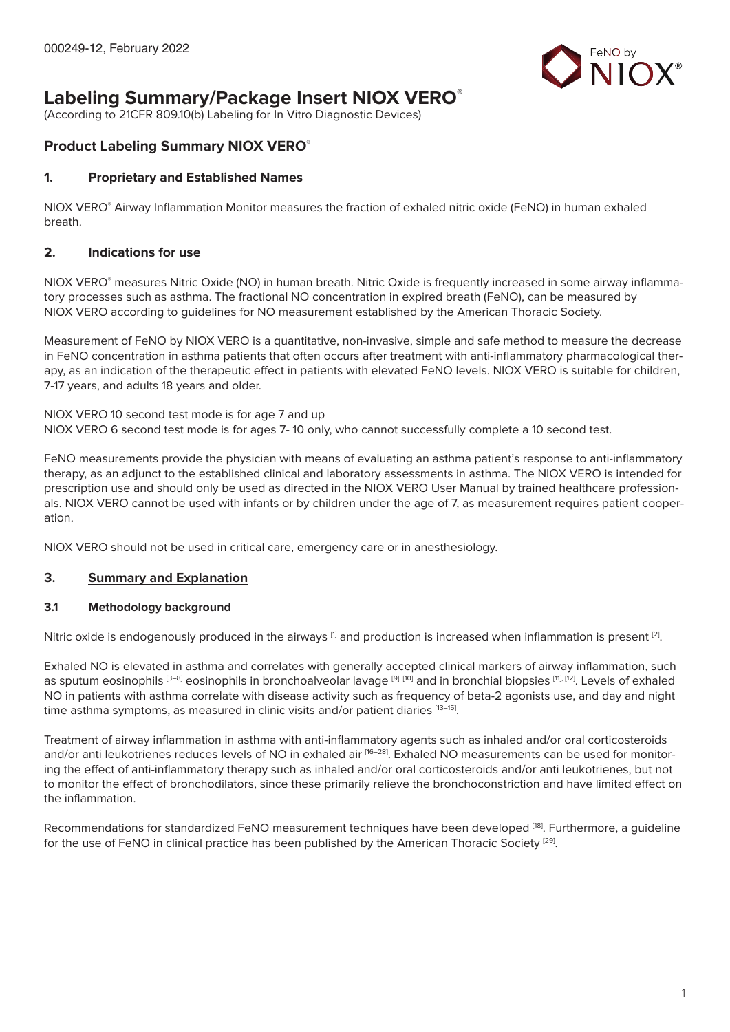

# **Labeling Summary/Package Insert NIOX VERO®**

(According to 21CFR 809.10(b) Labeling for In Vitro Diagnostic Devices)

# **Product Labeling Summary NIOX VERO®**

### **1. Proprietary and Established Names**

NIOX VERO® Airway Inflammation Monitor measures the fraction of exhaled nitric oxide (FeNO) in human exhaled breath.

### **2. Indications for use**

NIOX VERO® measures Nitric Oxide (NO) in human breath. Nitric Oxide is frequently increased in some airway inflammatory processes such as asthma. The fractional NO concentration in expired breath (FeNO), can be measured by NIOX VERO according to guidelines for NO measurement established by the American Thoracic Society.

Measurement of FeNO by NIOX VERO is a quantitative, non-invasive, simple and safe method to measure the decrease in FeNO concentration in asthma patients that often occurs after treatment with anti-inflammatory pharmacological therapy, as an indication of the therapeutic effect in patients with elevated FeNO levels. NIOX VERO is suitable for children, 7-17 years, and adults 18 years and older.

NIOX VERO 10 second test mode is for age 7 and up NIOX VERO 6 second test mode is for ages 7- 10 only, who cannot successfully complete a 10 second test.

FeNO measurements provide the physician with means of evaluating an asthma patient's response to anti-inflammatory therapy, as an adjunct to the established clinical and laboratory assessments in asthma. The NIOX VERO is intended for prescription use and should only be used as directed in the NIOX VERO User Manual by trained healthcare professionals. NIOX VERO cannot be used with infants or by children under the age of 7, as measurement requires patient cooperation.

NIOX VERO should not be used in critical care, emergency care or in anesthesiology.

# **3. Summary and Explanation**

### **3.1 Methodology background**

Nitric oxide is endogenously produced in the airways  $[1]$  and production is increased when inflammation is present  $[2]$ .

Exhaled NO is elevated in asthma and correlates with generally accepted clinical markers of airway inflammation, such as sputum eosinophils [3-8] eosinophils in bronchoalveolar lavage [9], [10] and in bronchial biopsies [11], [12]. Levels of exhaled NO in patients with asthma correlate with disease activity such as frequency of beta-2 agonists use, and day and night time asthma symptoms, as measured in clinic visits and/or patient diaries [13-15].

Treatment of airway inflammation in asthma with anti-inflammatory agents such as inhaled and/or oral corticosteroids and/or anti leukotrienes reduces levels of NO in exhaled air [16-28]. Exhaled NO measurements can be used for monitoring the effect of anti-inflammatory therapy such as inhaled and/or oral corticosteroids and/or anti leukotrienes, but not to monitor the effect of bronchodilators, since these primarily relieve the bronchoconstriction and have limited effect on the inflammation.

Recommendations for standardized FeNO measurement techniques have been developed [18]. Furthermore, a quideline for the use of FeNO in clinical practice has been published by the American Thoracic Society <sup>[29]</sup>.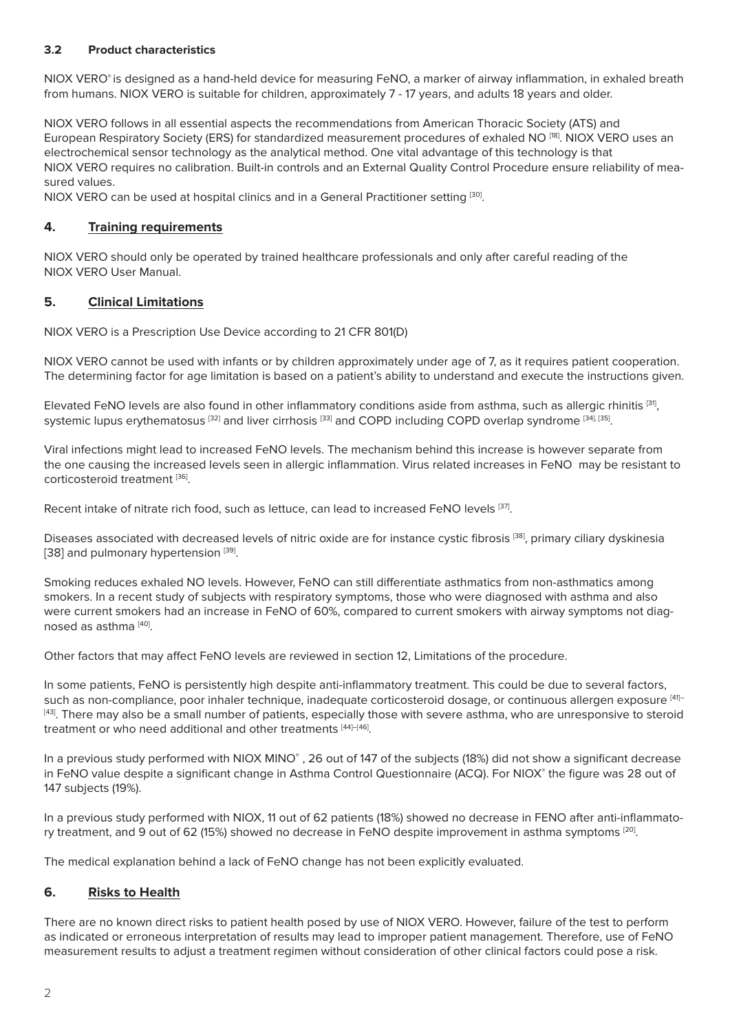### **3.2 Product characteristics**

NIOX VERO<sup>®</sup> is designed as a hand-held device for measuring FeNO, a marker of airway inflammation, in exhaled breath from humans. NIOX VERO is suitable for children, approximately 7 - 17 years, and adults 18 years and older.

NIOX VERO follows in all essential aspects the recommendations from American Thoracic Society (ATS) and European Respiratory Society (ERS) for standardized measurement procedures of exhaled NO [18]. NIOX VERO uses an electrochemical sensor technology as the analytical method. One vital advantage of this technology is that NIOX VERO requires no calibration. Built-in controls and an External Quality Control Procedure ensure reliability of measured values.

NIOX VERO can be used at hospital clinics and in a General Practitioner setting [30].

### **4. Training requirements**

NIOX VERO should only be operated by trained healthcare professionals and only after careful reading of the NIOX VERO User Manual.

### **5. Clinical Limitations**

NIOX VERO is a Prescription Use Device according to 21 CFR 801(D)

NIOX VERO cannot be used with infants or by children approximately under age of 7, as it requires patient cooperation. The determining factor for age limitation is based on a patient's ability to understand and execute the instructions given.

Elevated FeNO levels are also found in other inflammatory conditions aside from asthma, such as allergic rhinitis [31], systemic lupus erythematosus [32] and liver cirrhosis [33] and COPD including COPD overlap syndrome [34], [35].

Viral infections might lead to increased FeNO levels. The mechanism behind this increase is however separate from the one causing the increased levels seen in allergic inflammation. Virus related increases in FeNO may be resistant to corticosteroid treatment [36].

Recent intake of nitrate rich food, such as lettuce, can lead to increased FeNO levels [37].

Diseases associated with decreased levels of nitric oxide are for instance cystic fibrosis [38], primary ciliary dyskinesia [38] and pulmonary hypertension [39].

Smoking reduces exhaled NO levels. However, FeNO can still differentiate asthmatics from non-asthmatics among smokers. In a recent study of subjects with respiratory symptoms, those who were diagnosed with asthma and also were current smokers had an increase in FeNO of 60%, compared to current smokers with airway symptoms not diagnosed as asthma [40].

Other factors that may affect FeNO levels are reviewed in section 12, Limitations of the procedure.

In some patients, FeNO is persistently high despite anti-inflammatory treatment. This could be due to several factors, such as non-compliance, poor inhaler technique, inadequate corticosteroid dosage, or continuous allergen exposure [41]-[43]. There may also be a small number of patients, especially those with severe asthma, who are unresponsive to steroid treatment or who need additional and other treatments [44]-[46].

In a previous study performed with NIOX MINO<sup>®</sup>, 26 out of 147 of the subjects (18%) did not show a significant decrease in FeNO value despite a significant change in Asthma Control Questionnaire (ACQ). For NIOX® the figure was 28 out of 147 subjects (19%).

In a previous study performed with NIOX, 11 out of 62 patients (18%) showed no decrease in FENO after anti-inflammatory treatment, and 9 out of 62 (15%) showed no decrease in FeNO despite improvement in asthma symptoms [20].

The medical explanation behind a lack of FeNO change has not been explicitly evaluated.

# **6. Risks to Health**

There are no known direct risks to patient health posed by use of NIOX VERO. However, failure of the test to perform as indicated or erroneous interpretation of results may lead to improper patient management. Therefore, use of FeNO measurement results to adjust a treatment regimen without consideration of other clinical factors could pose a risk.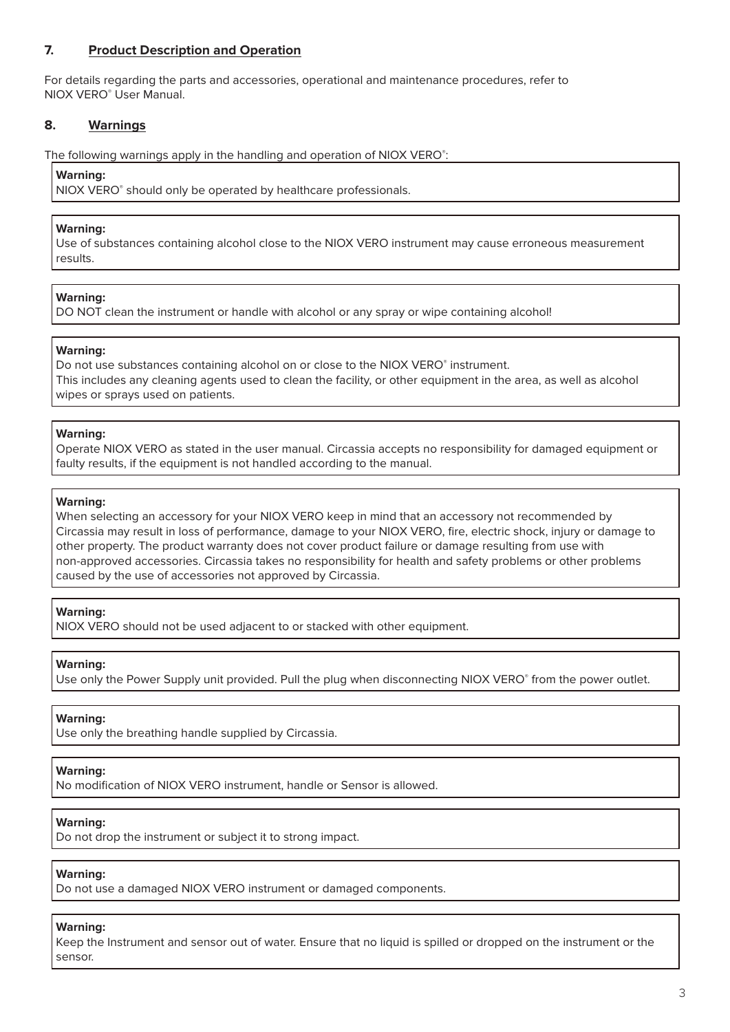# **7. Product Description and Operation**

For details regarding the parts and accessories, operational and maintenance procedures, refer to NIOX VERO® User Manual.

#### **8. Warnings**

The following warnings apply in the handling and operation of NIOX VERO®:

#### **Warning:**

NIOX VERO® should only be operated by healthcare professionals.

#### **Warning:**

Use of substances containing alcohol close to the NIOX VERO instrument may cause erroneous measurement results.

#### **Warning:**

DO NOT clean the instrument or handle with alcohol or any spray or wipe containing alcohol!

#### **Warning:**

Do not use substances containing alcohol on or close to the NIOX VERO® instrument. This includes any cleaning agents used to clean the facility, or other equipment in the area, as well as alcohol wipes or sprays used on patients.

#### **Warning:**

Operate NIOX VERO as stated in the user manual. Circassia accepts no responsibility for damaged equipment or faulty results, if the equipment is not handled according to the manual.

#### **Warning:**

When selecting an accessory for your NIOX VERO keep in mind that an accessory not recommended by Circassia may result in loss of performance, damage to your NIOX VERO, fire, electric shock, injury or damage to other property. The product warranty does not cover product failure or damage resulting from use with non-approved accessories. Circassia takes no responsibility for health and safety problems or other problems caused by the use of accessories not approved by Circassia.

#### **Warning:**

NIOX VERO should not be used adjacent to or stacked with other equipment.

#### **Warning:**

Use only the Power Supply unit provided. Pull the plug when disconnecting NIOX VERO® from the power outlet.

#### **Warning:**

Use only the breathing handle supplied by Circassia.

### **Warning:**

No modification of NIOX VERO instrument, handle or Sensor is allowed.

#### **Warning:**

Do not drop the instrument or subject it to strong impact.

#### **Warning:**

Do not use a damaged NIOX VERO instrument or damaged components.

#### **Warning:**

Keep the Instrument and sensor out of water. Ensure that no liquid is spilled or dropped on the instrument or the sensor.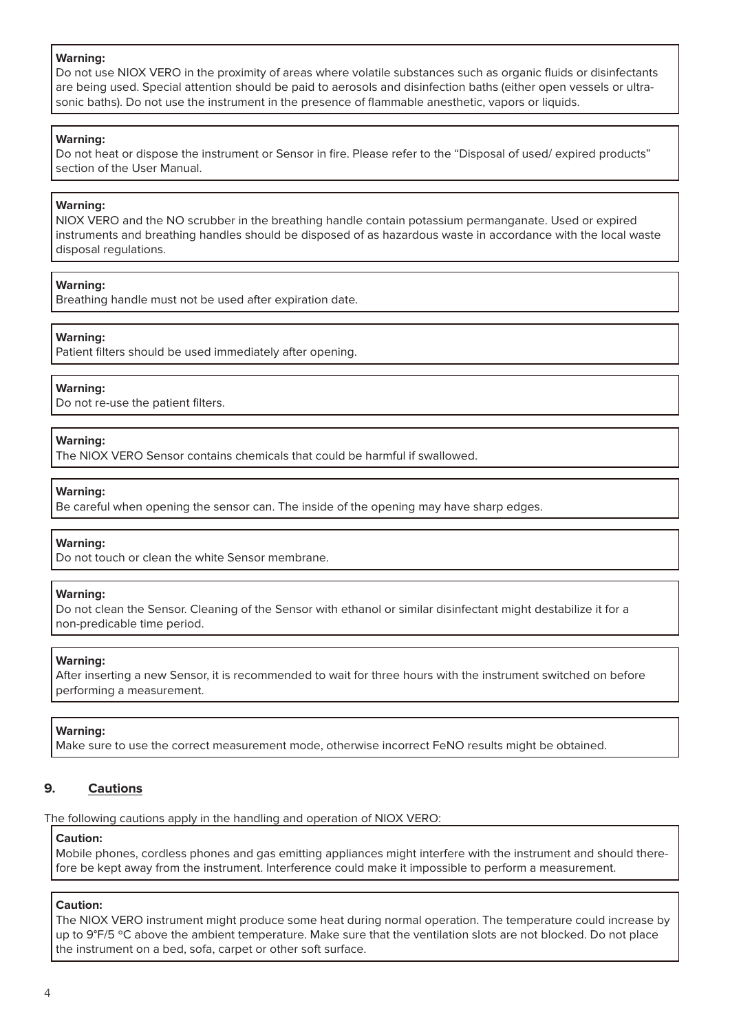#### **Warning:**

Do not use NIOX VERO in the proximity of areas where volatile substances such as organic fluids or disinfectants are being used. Special attention should be paid to aerosols and disinfection baths (either open vessels or ultrasonic baths). Do not use the instrument in the presence of flammable anesthetic, vapors or liquids.

#### **Warning:**

Do not heat or dispose the instrument or Sensor in fire. Please refer to the "Disposal of used/ expired products" section of the User Manual.

#### **Warning:**

NIOX VERO and the NO scrubber in the breathing handle contain potassium permanganate. Used or expired instruments and breathing handles should be disposed of as hazardous waste in accordance with the local waste disposal regulations.

#### **Warning:**

Breathing handle must not be used after expiration date.

#### **Warning:**

Patient filters should be used immediately after opening.

#### **Warning:**

Do not re-use the patient filters.

#### **Warning:**

The NIOX VERO Sensor contains chemicals that could be harmful if swallowed.

#### **Warning:**

Be careful when opening the sensor can. The inside of the opening may have sharp edges.

#### **Warning:**

Do not touch or clean the white Sensor membrane.

#### **Warning:**

Do not clean the Sensor. Cleaning of the Sensor with ethanol or similar disinfectant might destabilize it for a non-predicable time period.

#### **Warning:**

After inserting a new Sensor, it is recommended to wait for three hours with the instrument switched on before performing a measurement.

#### **Warning:**

Make sure to use the correct measurement mode, otherwise incorrect FeNO results might be obtained.

### **9. Cautions**

The following cautions apply in the handling and operation of NIOX VERO:

# **Caution:**

Mobile phones, cordless phones and gas emitting appliances might interfere with the instrument and should therefore be kept away from the instrument. Interference could make it impossible to perform a measurement.

#### **Caution:**

The NIOX VERO instrument might produce some heat during normal operation. The temperature could increase by up to 9°F/5 °C above the ambient temperature. Make sure that the ventilation slots are not blocked. Do not place the instrument on a bed, sofa, carpet or other soft surface.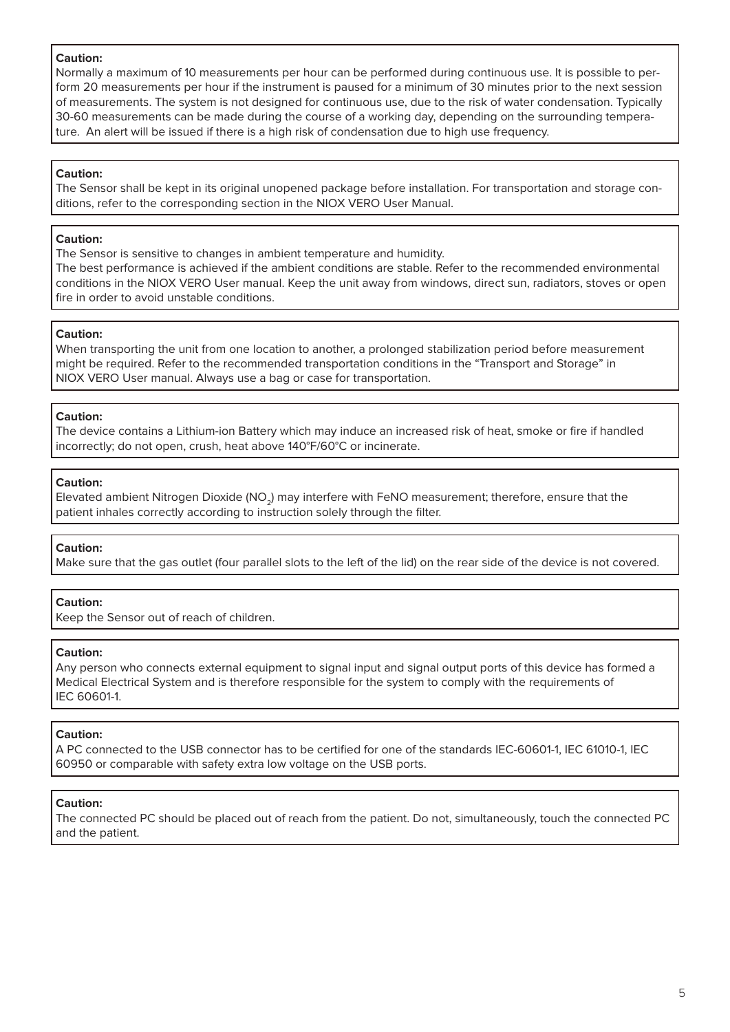#### **Caution:**

Normally a maximum of 10 measurements per hour can be performed during continuous use. It is possible to perform 20 measurements per hour if the instrument is paused for a minimum of 30 minutes prior to the next session of measurements. The system is not designed for continuous use, due to the risk of water condensation. Typically 30-60 measurements can be made during the course of a working day, depending on the surrounding temperature. An alert will be issued if there is a high risk of condensation due to high use frequency.

#### **Caution:**

The Sensor shall be kept in its original unopened package before installation. For transportation and storage conditions, refer to the corresponding section in the NIOX VERO User Manual.

### **Caution:**

The Sensor is sensitive to changes in ambient temperature and humidity.

The best performance is achieved if the ambient conditions are stable. Refer to the recommended environmental conditions in the NIOX VERO User manual. Keep the unit away from windows, direct sun, radiators, stoves or open fire in order to avoid unstable conditions.

#### **Caution:**

When transporting the unit from one location to another, a prolonged stabilization period before measurement might be required. Refer to the recommended transportation conditions in the "Transport and Storage" in NIOX VERO User manual. Always use a bag or case for transportation.

#### **Caution:**

The device contains a Lithium-ion Battery which may induce an increased risk of heat, smoke or fire if handled incorrectly; do not open, crush, heat above 140°F/60°C or incinerate.

#### **Caution:**

Elevated ambient Nitrogen Dioxide (NO<sub>2</sub>) may interfere with FeNO measurement; therefore, ensure that the patient inhales correctly according to instruction solely through the filter.

### **Caution:**

Make sure that the gas outlet (four parallel slots to the left of the lid) on the rear side of the device is not covered.

### **Caution:**

Keep the Sensor out of reach of children.

#### **Caution:**

Any person who connects external equipment to signal input and signal output ports of this device has formed a Medical Electrical System and is therefore responsible for the system to comply with the requirements of IEC 60601-1.

#### **Caution:**

A PC connected to the USB connector has to be certified for one of the standards IEC-60601-1, IEC 61010-1, IEC 60950 or comparable with safety extra low voltage on the USB ports.

#### **Caution:**

The connected PC should be placed out of reach from the patient. Do not, simultaneously, touch the connected PC and the patient.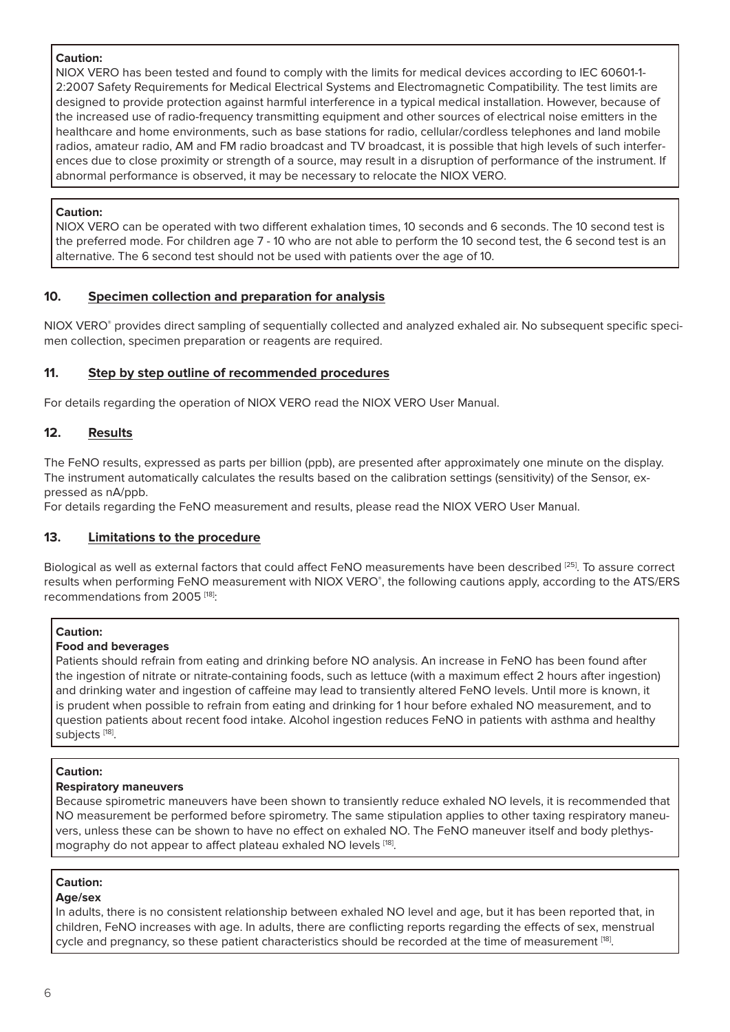### **Caution:**

NIOX VERO has been tested and found to comply with the limits for medical devices according to IEC 60601-1- 2:2007 Safety Requirements for Medical Electrical Systems and Electromagnetic Compatibility. The test limits are designed to provide protection against harmful interference in a typical medical installation. However, because of the increased use of radio-frequency transmitting equipment and other sources of electrical noise emitters in the healthcare and home environments, such as base stations for radio, cellular/cordless telephones and land mobile radios, amateur radio, AM and FM radio broadcast and TV broadcast, it is possible that high levels of such interferences due to close proximity or strength of a source, may result in a disruption of performance of the instrument. If abnormal performance is observed, it may be necessary to relocate the NIOX VERO.

### **Caution:**

NIOX VERO can be operated with two different exhalation times, 10 seconds and 6 seconds. The 10 second test is the preferred mode. For children age 7 - 10 who are not able to perform the 10 second test, the 6 second test is an alternative. The 6 second test should not be used with patients over the age of 10.

### **10. Specimen collection and preparation for analysis**

NIOX VERO® provides direct sampling of sequentially collected and analyzed exhaled air. No subsequent specific specimen collection, specimen preparation or reagents are required.

### **11. Step by step outline of recommended procedures**

For details regarding the operation of NIOX VERO read the NIOX VERO User Manual.

### **12. Results**

The FeNO results, expressed as parts per billion (ppb), are presented after approximately one minute on the display. The instrument automatically calculates the results based on the calibration settings (sensitivity) of the Sensor, expressed as nA/ppb.

For details regarding the FeNO measurement and results, please read the NIOX VERO User Manual.

### **13. Limitations to the procedure**

Biological as well as external factors that could affect FeNO measurements have been described [25]. To assure correct results when performing FeNO measurement with NIOX VERO®, the following cautions apply, according to the ATS/ERS recommendations from 2005<sup>[18]</sup>:

### **Caution:**

### **Food and beverages**

Patients should refrain from eating and drinking before NO analysis. An increase in FeNO has been found after the ingestion of nitrate or nitrate-containing foods, such as lettuce (with a maximum effect 2 hours after ingestion) and drinking water and ingestion of caffeine may lead to transiently altered FeNO levels. Until more is known, it is prudent when possible to refrain from eating and drinking for 1 hour before exhaled NO measurement, and to question patients about recent food intake. Alcohol ingestion reduces FeNO in patients with asthma and healthy subjects [18].

### **Caution:**

### **Respiratory maneuvers**

Because spirometric maneuvers have been shown to transiently reduce exhaled NO levels, it is recommended that NO measurement be performed before spirometry. The same stipulation applies to other taxing respiratory maneuvers, unless these can be shown to have no effect on exhaled NO. The FeNO maneuver itself and body plethysmography do not appear to affect plateau exhaled NO levels [18].

### **Caution:**

### **Age/sex**

In adults, there is no consistent relationship between exhaled NO level and age, but it has been reported that, in children, FeNO increases with age. In adults, there are conflicting reports regarding the effects of sex, menstrual cycle and pregnancy, so these patient characteristics should be recorded at the time of measurement [18].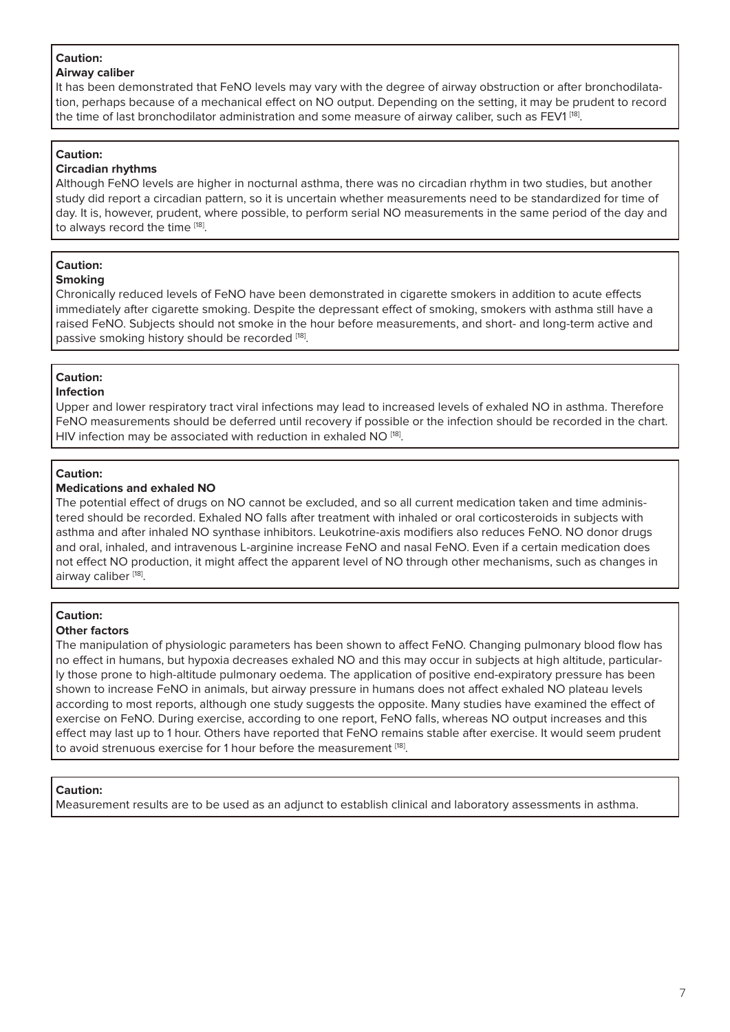### **Caution:**

### **Airway caliber**

It has been demonstrated that FeNO levels may vary with the degree of airway obstruction or after bronchodilatation, perhaps because of a mechanical effect on NO output. Depending on the setting, it may be prudent to record the time of last bronchodilator administration and some measure of airway caliber, such as FEV1<sup>[18]</sup>.

# **Caution:**

#### **Circadian rhythms**

Although FeNO levels are higher in nocturnal asthma, there was no circadian rhythm in two studies, but another study did report a circadian pattern, so it is uncertain whether measurements need to be standardized for time of day. It is, however, prudent, where possible, to perform serial NO measurements in the same period of the day and to always record the time [18].

#### **Caution: Smoking**

Chronically reduced levels of FeNO have been demonstrated in cigarette smokers in addition to acute effects immediately after cigarette smoking. Despite the depressant effect of smoking, smokers with asthma still have a raised FeNO. Subjects should not smoke in the hour before measurements, and short- and long-term active and passive smoking history should be recorded [18].

# **Caution:**

### **Infection**

Upper and lower respiratory tract viral infections may lead to increased levels of exhaled NO in asthma. Therefore FeNO measurements should be deferred until recovery if possible or the infection should be recorded in the chart. HIV infection may be associated with reduction in exhaled NO [18].

# **Caution:**

### **Medications and exhaled NO**

The potential effect of drugs on NO cannot be excluded, and so all current medication taken and time administered should be recorded. Exhaled NO falls after treatment with inhaled or oral corticosteroids in subjects with asthma and after inhaled NO synthase inhibitors. Leukotrine-axis modifiers also reduces FeNO. NO donor drugs and oral, inhaled, and intravenous L-arginine increase FeNO and nasal FeNO. Even if a certain medication does not effect NO production, it might affect the apparent level of NO through other mechanisms, such as changes in airway caliber [18].

# **Caution:**

### **Other factors**

The manipulation of physiologic parameters has been shown to affect FeNO. Changing pulmonary blood flow has no effect in humans, but hypoxia decreases exhaled NO and this may occur in subjects at high altitude, particularly those prone to high-altitude pulmonary oedema. The application of positive end-expiratory pressure has been shown to increase FeNO in animals, but airway pressure in humans does not affect exhaled NO plateau levels according to most reports, although one study suggests the opposite. Many studies have examined the effect of exercise on FeNO. During exercise, according to one report, FeNO falls, whereas NO output increases and this effect may last up to 1 hour. Others have reported that FeNO remains stable after exercise. It would seem prudent to avoid strenuous exercise for 1 hour before the measurement [18].

### **Caution:**

Measurement results are to be used as an adjunct to establish clinical and laboratory assessments in asthma.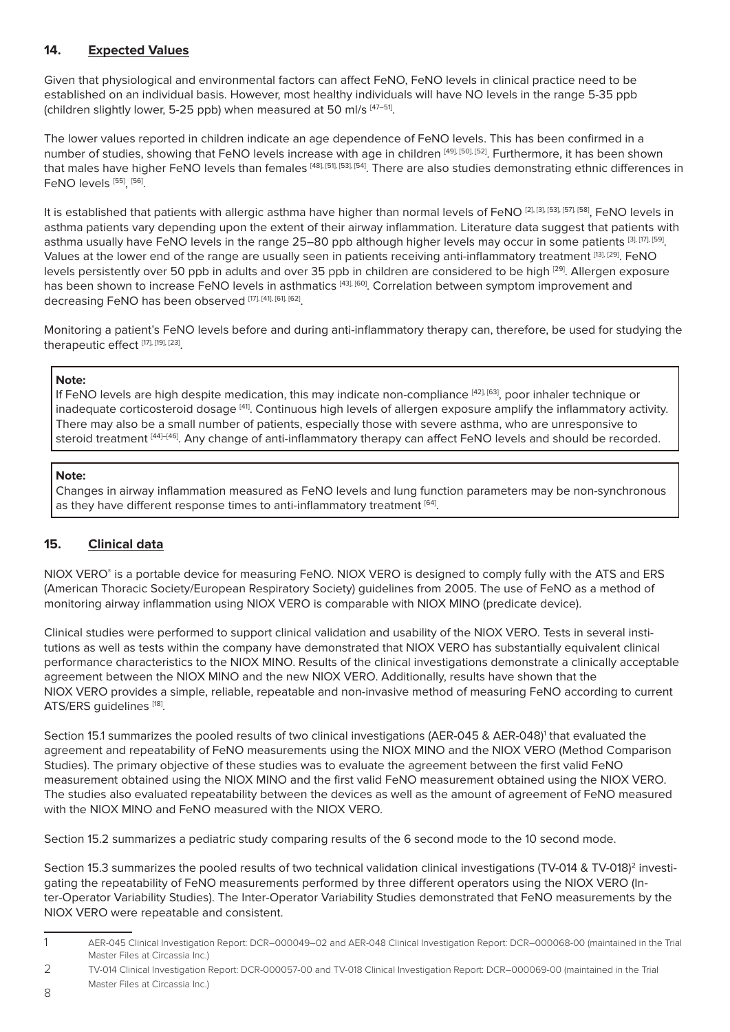# **14. Expected Values**

Given that physiological and environmental factors can affect FeNO, FeNO levels in clinical practice need to be established on an individual basis. However, most healthy individuals will have NO levels in the range 5-35 ppb (children slightly lower, 5-25 ppb) when measured at 50 ml/s [47-51].

The lower values reported in children indicate an age dependence of FeNO levels. This has been confirmed in a number of studies, showing that FeNO levels increase with age in children [49], [50], [52]. Furthermore, it has been shown that males have higher FeNO levels than females [48], [54], [54]. There are also studies demonstrating ethnic differences in FeNO levels [55], [56].

It is established that patients with allergic asthma have higher than normal levels of FeNO [2], [3], [57], [58], [57], [58], FeNO levels in asthma patients vary depending upon the extent of their airway inflammation. Literature data suggest that patients with asthma usually have FeNO levels in the range 25-80 ppb although higher levels may occur in some patients [3], [17], [59]. Values at the lower end of the range are usually seen in patients receiving anti-inflammatory treatment [13], [29]. FeNO levels persistently over 50 ppb in adults and over 35 ppb in children are considered to be high [29]. Allergen exposure has been shown to increase FeNO levels in asthmatics [43], [60]. Correlation between symptom improvement and decreasing FeNO has been observed [17], [41], [61], [62].

Monitoring a patient's FeNO levels before and during anti-inflammatory therapy can, therefore, be used for studying the therapeutic effect [17], [19], [23].

#### **Note:**

If FeNO levels are high despite medication, this may indicate non-compliance [42], [63], poor inhaler technique or inadequate corticosteroid dosage [41]. Continuous high levels of allergen exposure amplify the inflammatory activity. There may also be a small number of patients, especially those with severe asthma, who are unresponsive to steroid treatment [44]-[46]. Any change of anti-inflammatory therapy can affect FeNO levels and should be recorded.

### **Note:**

Changes in airway inflammation measured as FeNO levels and lung function parameters may be non-synchronous as they have different response times to anti-inflammatory treatment [64].

# **15. Clinical data**

NIOX VERO® is a portable device for measuring FeNO. NIOX VERO is designed to comply fully with the ATS and ERS (American Thoracic Society/European Respiratory Society) guidelines from 2005. The use of FeNO as a method of monitoring airway inflammation using NIOX VERO is comparable with NIOX MINO (predicate device).

Clinical studies were performed to support clinical validation and usability of the NIOX VERO. Tests in several institutions as well as tests within the company have demonstrated that NIOX VERO has substantially equivalent clinical performance characteristics to the NIOX MINO. Results of the clinical investigations demonstrate a clinically acceptable agreement between the NIOX MINO and the new NIOX VERO. Additionally, results have shown that the NIOX VERO provides a simple, reliable, repeatable and non-invasive method of measuring FeNO according to current ATS/ERS quidelines [18].

Section 15.1 summarizes the pooled results of two clinical investigations (AER-045 & AER-048)<sup>1</sup> that evaluated the agreement and repeatability of FeNO measurements using the NIOX MINO and the NIOX VERO (Method Comparison Studies). The primary objective of these studies was to evaluate the agreement between the first valid FeNO measurement obtained using the NIOX MINO and the first valid FeNO measurement obtained using the NIOX VERO. The studies also evaluated repeatability between the devices as well as the amount of agreement of FeNO measured with the NIOX MINO and FeNO measured with the NIOX VERO.

Section 15.2 summarizes a pediatric study comparing results of the 6 second mode to the 10 second mode.

Section 15.3 summarizes the pooled results of two technical validation clinical investigations (TV-014 & TV-018)<sup>2</sup> investigating the repeatability of FeNO measurements performed by three different operators using the NIOX VERO (Inter-Operator Variability Studies). The Inter-Operator Variability Studies demonstrated that FeNO measurements by the NIOX VERO were repeatable and consistent.

2 TV-014 Clinical Investigation Report: DCR-000057-00 and TV-018 Clinical Investigation Report: DCR–000069-00 (maintained in the Trial Master Files at Circassia Inc.)

<sup>1</sup> AER-045 Clinical Investigation Report: DCR–000049–02 and AER-048 Clinical Investigation Report: DCR–000068-00 (maintained in the Trial Master Files at Circassia Inc.)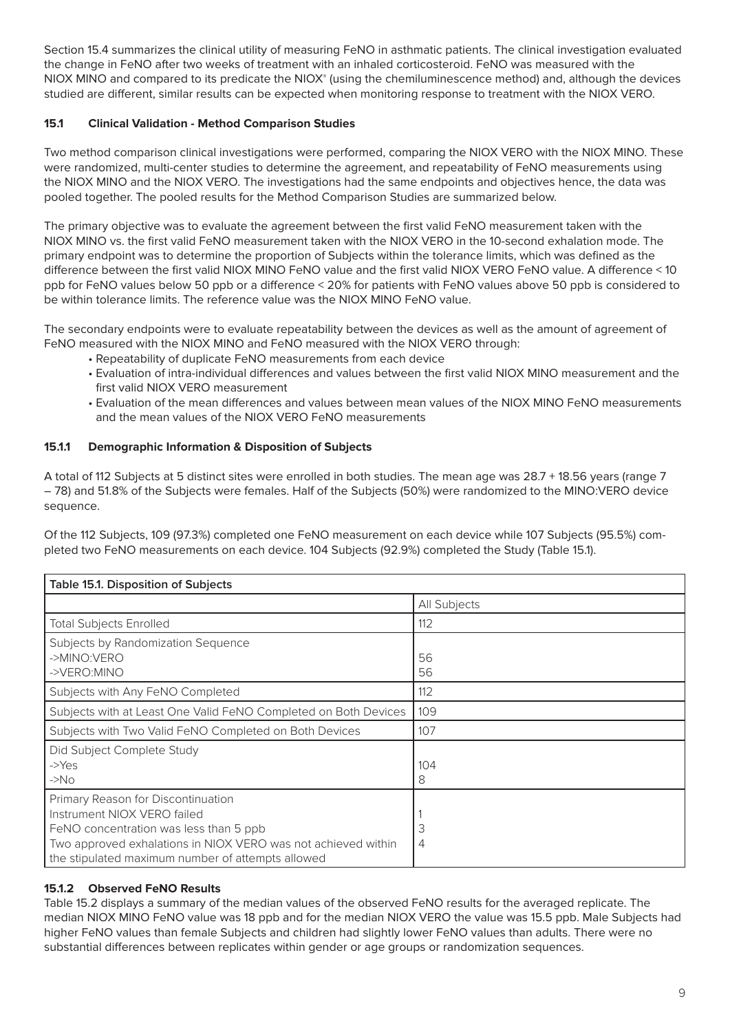Section 15.4 summarizes the clinical utility of measuring FeNO in asthmatic patients. The clinical investigation evaluated the change in FeNO after two weeks of treatment with an inhaled corticosteroid. FeNO was measured with the  $NIOX$  MINO and compared to its predicate the  $NIOX<sup>®</sup>$  (using the chemiluminescence method) and, although the devices studied are different, similar results can be expected when monitoring response to treatment with the NIOX VERO.

### **15.1 Clinical Validation - Method Comparison Studies**

Two method comparison clinical investigations were performed, comparing the NIOX VERO with the NIOX MINO. These were randomized, multi-center studies to determine the agreement, and repeatability of FeNO measurements using the NIOX MINO and the NIOX VERO. The investigations had the same endpoints and objectives hence, the data was pooled together. The pooled results for the Method Comparison Studies are summarized below.

The primary objective was to evaluate the agreement between the first valid FeNO measurement taken with the NIOX MINO vs. the first valid FeNO measurement taken with the NIOX VERO in the 10-second exhalation mode. The primary endpoint was to determine the proportion of Subjects within the tolerance limits, which was defined as the difference between the first valid NIOX MINO FeNO value and the first valid NIOX VERO FeNO value. A difference < 10 ppb for FeNO values below 50 ppb or a difference < 20% for patients with FeNO values above 50 ppb is considered to be within tolerance limits. The reference value was the NIOX MINO FeNO value.

The secondary endpoints were to evaluate repeatability between the devices as well as the amount of agreement of FeNO measured with the NIOX MINO and FeNO measured with the NIOX VERO through:

- Repeatability of duplicate FeNO measurements from each device
- Evaluation of intra-individual differences and values between the first valid NIOX MINO measurement and the first valid NIOX VERO measurement
- Evaluation of the mean differences and values between mean values of the NIOX MINO FeNO measurements and the mean values of the NIOX VERO FeNO measurements

### **15.1.1 Demographic Information & Disposition of Subjects**

A total of 112 Subjects at 5 distinct sites were enrolled in both studies. The mean age was 28.7 + 18.56 years (range 7 – 78) and 51.8% of the Subjects were females. Half of the Subjects (50%) were randomized to the MINO:VERO device sequence.

Of the 112 Subjects, 109 (97.3%) completed one FeNO measurement on each device while 107 Subjects (95.5%) completed two FeNO measurements on each device. 104 Subjects (92.9%) completed the Study (Table 15.1).

| <b>Table 15.1. Disposition of Subjects</b>                                                                                                                                                                                        |              |  |  |  |  |
|-----------------------------------------------------------------------------------------------------------------------------------------------------------------------------------------------------------------------------------|--------------|--|--|--|--|
|                                                                                                                                                                                                                                   | All Subjects |  |  |  |  |
| <b>Total Subjects Enrolled</b>                                                                                                                                                                                                    | 112          |  |  |  |  |
| Subjects by Randomization Sequence<br>->MINO:VERO<br>->VERO:MINO                                                                                                                                                                  | 56<br>56     |  |  |  |  |
| Subjects with Any FeNO Completed                                                                                                                                                                                                  | 112          |  |  |  |  |
| Subjects with at Least One Valid FeNO Completed on Both Devices                                                                                                                                                                   | 109          |  |  |  |  |
| Subjects with Two Valid FeNO Completed on Both Devices                                                                                                                                                                            | 107          |  |  |  |  |
| Did Subject Complete Study<br>$ Yes$<br>$\rightarrow$ No                                                                                                                                                                          | 104<br>8     |  |  |  |  |
| Primary Reason for Discontinuation<br>Instrument NIOX VERO failed<br>FeNO concentration was less than 5 ppb<br>Two approved exhalations in NIOX VERO was not achieved within<br>the stipulated maximum number of attempts allowed | 3<br>4       |  |  |  |  |

### **15.1.2 Observed FeNO Results**

Table 15.2 displays a summary of the median values of the observed FeNO results for the averaged replicate. The median NIOX MINO FeNO value was 18 ppb and for the median NIOX VERO the value was 15.5 ppb. Male Subjects had higher FeNO values than female Subjects and children had slightly lower FeNO values than adults. There were no substantial differences between replicates within gender or age groups or randomization sequences.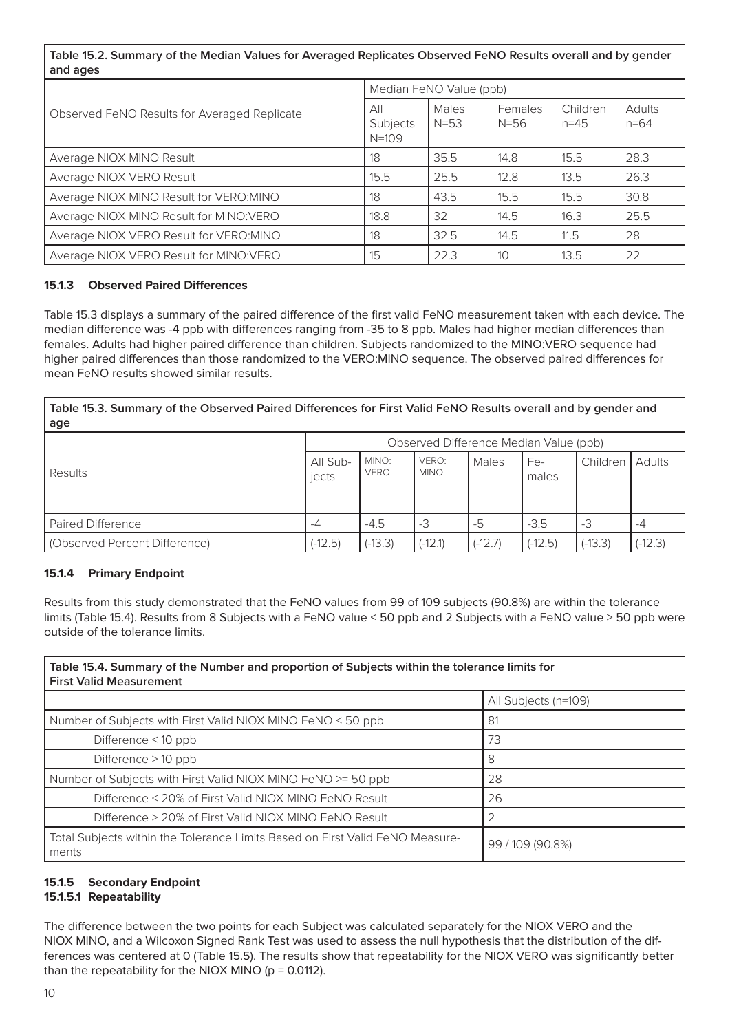# **Table 15.2. Summary of the Median Values for Averaged Replicates Observed FeNO Results overall and by gender and ages**

|                                              | Median FeNO Value (ppb)      |                 |                     |                      |                           |  |
|----------------------------------------------|------------------------------|-----------------|---------------------|----------------------|---------------------------|--|
| Observed FeNO Results for Averaged Replicate | All<br>Subjects<br>$N = 109$ | Males<br>$N=53$ | Females<br>$N = 56$ | Children<br>$n = 45$ | <b>Adults</b><br>$n = 64$ |  |
| Average NIOX MINO Result                     | 18                           | 35.5            | 14.8                | 15.5                 | 28.3                      |  |
| Average NIOX VERO Result                     | 15.5                         | 25.5            | 12.8                | 13.5                 | 26.3                      |  |
| Average NIOX MINO Result for VERO: MINO      | 18                           | 43.5            | 15.5                | 15.5                 | 30.8                      |  |
| Average NIOX MINO Result for MINO:VERO       | 18.8                         | 32              | 14.5                | 16.3                 | 25.5                      |  |
| Average NIOX VERO Result for VERO: MINO      | 18                           | 32.5            | 14.5                | 11.5                 | 28                        |  |
| Average NIOX VERO Result for MINO: VERO      | 15                           | 22.3            | 10 <sup>°</sup>     | 13.5                 | 22                        |  |

#### **15.1.3 Observed Paired Differences**

Table 15.3 displays a summary of the paired difference of the first valid FeNO measurement taken with each device. The median difference was -4 ppb with differences ranging from -35 to 8 ppb. Males had higher median differences than females. Adults had higher paired difference than children. Subjects randomized to the MINO:VERO sequence had higher paired differences than those randomized to the VERO:MINO sequence. The observed paired differences for mean FeNO results showed similar results.

**Table 15.3. Summary of the Observed Paired Differences for First Valid FeNO Results overall and by gender and age**

|                               | Observed Difference Median Value (ppb) |                      |                      |           |              |           |           |
|-------------------------------|----------------------------------------|----------------------|----------------------|-----------|--------------|-----------|-----------|
| Results                       | All Sub-<br>jects                      | MINO:<br><b>VERO</b> | VERO:<br><b>MINO</b> | Males     | Fe-<br>males | Children  | Adults    |
| <b>Paired Difference</b>      | -4                                     | $-4.5$               | -3                   | -5        | $-3.5$       | -3        | -4        |
| (Observed Percent Difference) | $(-12.5)$                              | $(-13.3)$            | $(-12.1)$            | $(-12.7)$ | $(-12.5)$    | $(-13.3)$ | $(-12.3)$ |

### **15.1.4 Primary Endpoint**

Results from this study demonstrated that the FeNO values from 99 of 109 subjects (90.8%) are within the tolerance limits (Table 15.4). Results from 8 Subjects with a FeNO value < 50 ppb and 2 Subjects with a FeNO value > 50 ppb were outside of the tolerance limits.

| Table 15.4. Summary of the Number and proportion of Subjects within the tolerance limits for<br><b>First Valid Measurement</b> |                      |  |  |  |  |
|--------------------------------------------------------------------------------------------------------------------------------|----------------------|--|--|--|--|
|                                                                                                                                | All Subjects (n=109) |  |  |  |  |
| Number of Subjects with First Valid NIOX MINO FeNO < 50 ppb                                                                    | 81                   |  |  |  |  |
| Difference < 10 ppb                                                                                                            | 73                   |  |  |  |  |
| Difference > 10 ppb                                                                                                            | 8                    |  |  |  |  |
| Number of Subjects with First Valid NIOX MINO FeNO >= 50 ppb                                                                   | 28                   |  |  |  |  |
| Difference < 20% of First Valid NIOX MINO FeNO Result                                                                          | 26                   |  |  |  |  |
| Difference > 20% of First Valid NIOX MINO FeNO Result                                                                          |                      |  |  |  |  |
| Total Subjects within the Tolerance Limits Based on First Valid FeNO Measure-<br>ments                                         | 99/109 (90.8%)       |  |  |  |  |

# **15.1.5 Secondary Endpoint**

# **15.1.5.1 Repeatability**

The difference between the two points for each Subject was calculated separately for the NIOX VERO and the NIOX MINO, and a Wilcoxon Signed Rank Test was used to assess the null hypothesis that the distribution of the differences was centered at 0 (Table 15.5). The results show that repeatability for the NIOX VERO was significantly better than the repeatability for the NIOX MINO ( $p = 0.0112$ ).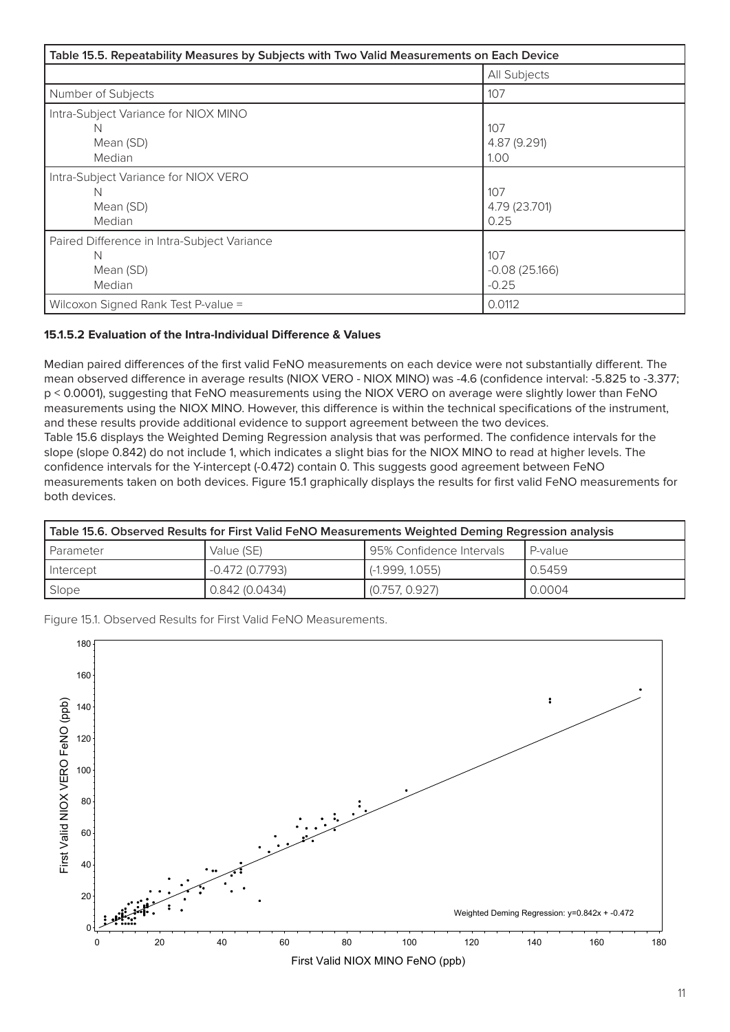| Table 15.5. Repeatability Measures by Subjects with Two Valid Measurements on Each Device |                                   |  |  |
|-------------------------------------------------------------------------------------------|-----------------------------------|--|--|
|                                                                                           | All Subjects                      |  |  |
| Number of Subjects                                                                        | 107                               |  |  |
| Intra-Subject Variance for NIOX MINO<br>N<br>Mean (SD)<br>Median                          | 107<br>4.87 (9.291)<br>1.00       |  |  |
| Intra-Subject Variance for NIOX VERO<br>N<br>Mean (SD)<br>Median                          | 107<br>4.79 (23.701)<br>0.25      |  |  |
| Paired Difference in Intra-Subject Variance<br>N<br>Mean (SD)<br>Median                   | 107<br>$-0.08(25.166)$<br>$-0.25$ |  |  |
| Wilcoxon Signed Rank Test P-value =                                                       | 0.0112                            |  |  |

### **15.1.5.2 Evaluation of the Intra-Individual Difference & Values**

Median paired differences of the first valid FeNO measurements on each device were not substantially different. The mean observed difference in average results (NIOX VERO - NIOX MINO) was -4.6 (confidence interval: -5.825 to -3.377; p < 0.0001), suggesting that FeNO measurements using the NIOX VERO on average were slightly lower than FeNO measurements using the NIOX MINO. However, this difference is within the technical specifications of the instrument, and these results provide additional evidence to support agreement between the two devices. Table 15.6 displays the Weighted Deming Regression analysis that was performed. The confidence intervals for the slope (slope 0.842) do not include 1, which indicates a slight bias for the NIOX MINO to read at higher levels. The confidence intervals for the Y-intercept (-0.472) contain 0. This suggests good agreement between FeNO measurements taken on both devices. Figure 15.1 graphically displays the results for first valid FeNO measurements for both devices.

| Table 15.6. Observed Results for First Valid FeNO Measurements Weighted Deming Regression analysis |                 |                          |           |  |  |
|----------------------------------------------------------------------------------------------------|-----------------|--------------------------|-----------|--|--|
| l Parameter                                                                                        | Value (SE)      | 95% Confidence Intervals | l P-value |  |  |
| I Intercept                                                                                        | -0.472 (0.7793) | $(-1.999, 1.055)$        | 0.5459    |  |  |
| Slope                                                                                              | 0.842(0.0434)   | (0.757, 0.927)           | 0.0004    |  |  |

Figure 15.1. Observed Results for First Valid FeNO Measurements.

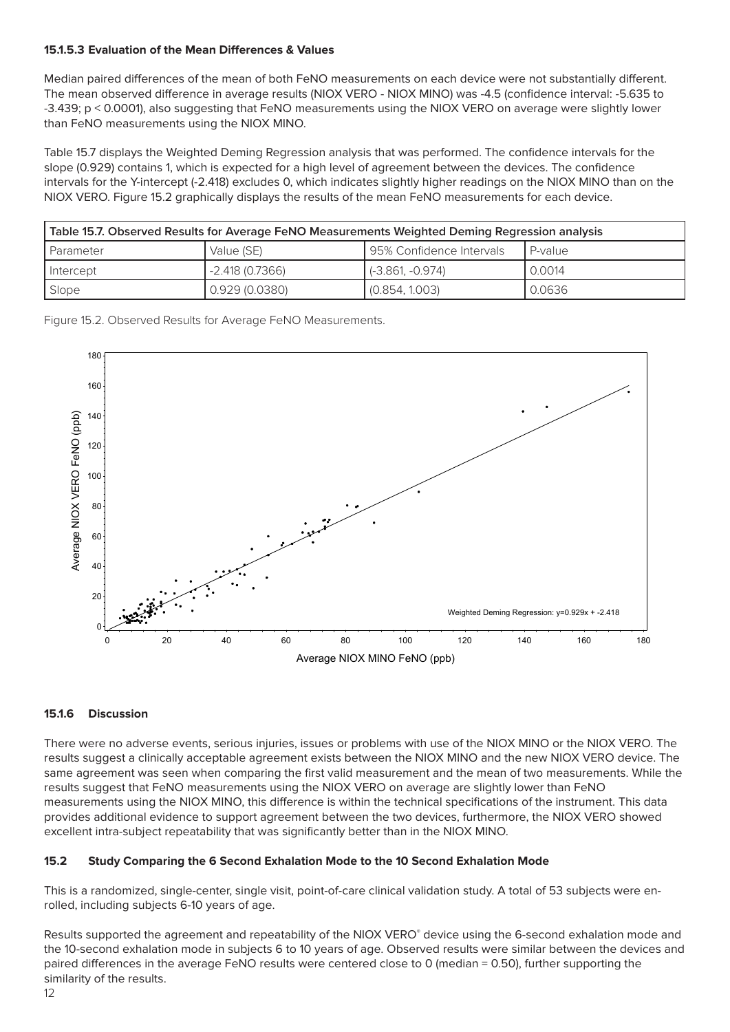### **15.1.5.3 Evaluation of the Mean Differences & Values**

Median paired differences of the mean of both FeNO measurements on each device were not substantially different. The mean observed difference in average results (NIOX VERO - NIOX MINO) was -4.5 (confidence interval: -5.635 to -3.439; p < 0.0001), also suggesting that FeNO measurements using the NIOX VERO on average were slightly lower than FeNO measurements using the NIOX MINO.

Table 15.7 displays the Weighted Deming Regression analysis that was performed. The confidence intervals for the slope (0.929) contains 1, which is expected for a high level of agreement between the devices. The confidence intervals for the Y-intercept (-2.418) excludes 0, which indicates slightly higher readings on the NIOX MINO than on the NIOX VERO. Figure 15.2 graphically displays the results of the mean FeNO measurements for each device.

| Table 15.7. Observed Results for Average FeNO Measurements Weighted Deming Regression analysis |                 |                                 |         |  |  |
|------------------------------------------------------------------------------------------------|-----------------|---------------------------------|---------|--|--|
| l Parameter                                                                                    | Value (SE)      | I 95% Confidence Intervals      | P-value |  |  |
| I Intercept                                                                                    | -2.418 (0.7366) | $\left( -3.861, -0.974 \right)$ | 0.0014  |  |  |
| 0.929 (0.0380)<br>0.0636<br>(0.854, 1.003)<br>Slope                                            |                 |                                 |         |  |  |

Figure 15.2. Observed Results for Average FeNO Measurements.



#### **15.1.6 Discussion**

There were no adverse events, serious injuries, issues or problems with use of the NIOX MINO or the NIOX VERO. The results suggest a clinically acceptable agreement exists between the NIOX MINO and the new NIOX VERO device. The same agreement was seen when comparing the first valid measurement and the mean of two measurements. While the results suggest that FeNO measurements using the NIOX VERO on average are slightly lower than FeNO measurements using the NIOX MINO, this difference is within the technical specifications of the instrument. This data provides additional evidence to support agreement between the two devices, furthermore, the NIOX VERO showed excellent intra-subject repeatability that was significantly better than in the NIOX MINO.

### **15.2 Study Comparing the 6 Second Exhalation Mode to the 10 Second Exhalation Mode**

This is a randomized, single-center, single visit, point-of-care clinical validation study. A total of 53 subjects were enrolled, including subjects 6-10 years of age.

Results supported the agreement and repeatability of the NIOX VERO® device using the 6-second exhalation mode and the 10-second exhalation mode in subjects 6 to 10 years of age. Observed results were similar between the devices and paired differences in the average FeNO results were centered close to 0 (median = 0.50), further supporting the similarity of the results.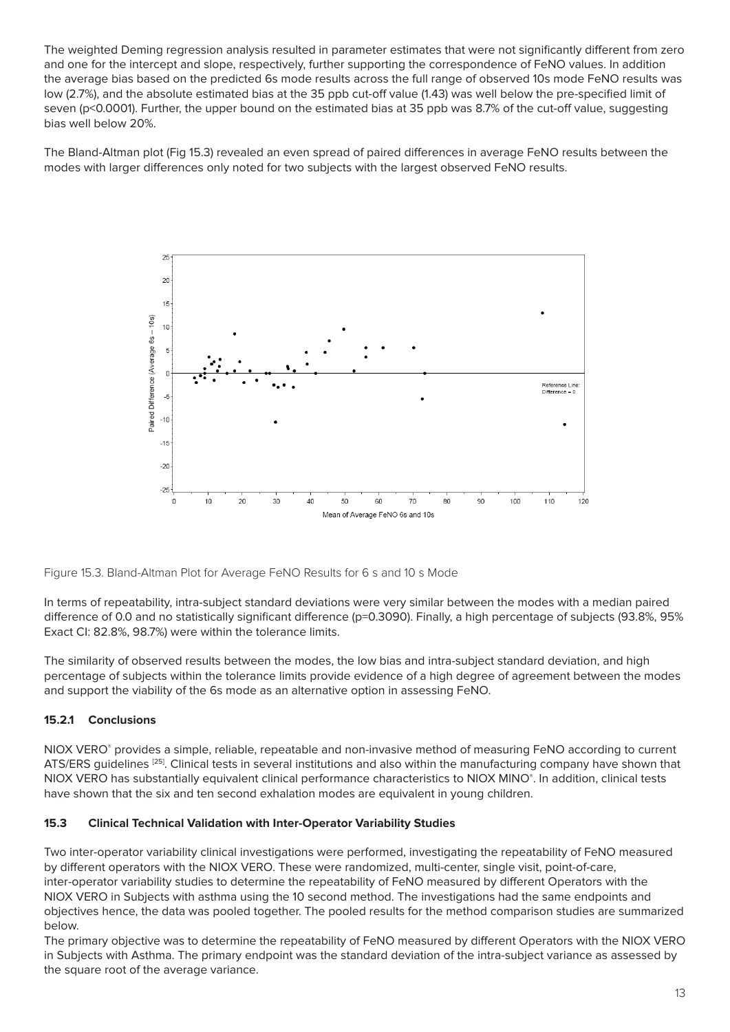The weighted Deming regression analysis resulted in parameter estimates that were not significantly different from zero and one for the intercept and slope, respectively, further supporting the correspondence of FeNO values. In addition the average bias based on the predicted 6s mode results across the full range of observed 10s mode FeNO results was low (2.7%), and the absolute estimated bias at the 35 ppb cut-off value (1.43) was well below the pre-specified limit of seven (p<0.0001). Further, the upper bound on the estimated bias at 35 ppb was 8.7% of the cut-off value, suggesting bias well below 20%.

The Bland-Altman plot (Fig 15.3) revealed an even spread of paired differences in average FeNO results between the modes with larger differences only noted for two subjects with the largest observed FeNO results.



Figure 15.3. Bland-Altman Plot for Average FeNO Results for 6 s and 10 s Mode

In terms of repeatability, intra-subject standard deviations were very similar between the modes with a median paired difference of 0.0 and no statistically significant difference (p=0.3090). Finally, a high percentage of subjects (93.8%, 95% Exact CI: 82.8%, 98.7%) were within the tolerance limits.

The similarity of observed results between the modes, the low bias and intra-subject standard deviation, and high percentage of subjects within the tolerance limits provide evidence of a high degree of agreement between the modes and support the viability of the 6s mode as an alternative option in assessing FeNO.

### **15.2.1 Conclusions**

NIOX VERO® provides a simple, reliable, repeatable and non-invasive method of measuring FeNO according to current ATS/ERS guidelines [25]. Clinical tests in several institutions and also within the manufacturing company have shown that NIOX VERO has substantially equivalent clinical performance characteristics to NIOX MINO® . In addition, clinical tests have shown that the six and ten second exhalation modes are equivalent in young children.

### **15.3 Clinical Technical Validation with Inter-Operator Variability Studies**

Two inter-operator variability clinical investigations were performed, investigating the repeatability of FeNO measured by different operators with the NIOX VERO. These were randomized, multi-center, single visit, point-of-care, inter-operator variability studies to determine the repeatability of FeNO measured by different Operators with the NIOX VERO in Subjects with asthma using the 10 second method. The investigations had the same endpoints and objectives hence, the data was pooled together. The pooled results for the method comparison studies are summarized below.

The primary objective was to determine the repeatability of FeNO measured by different Operators with the NIOX VERO in Subjects with Asthma. The primary endpoint was the standard deviation of the intra-subject variance as assessed by the square root of the average variance.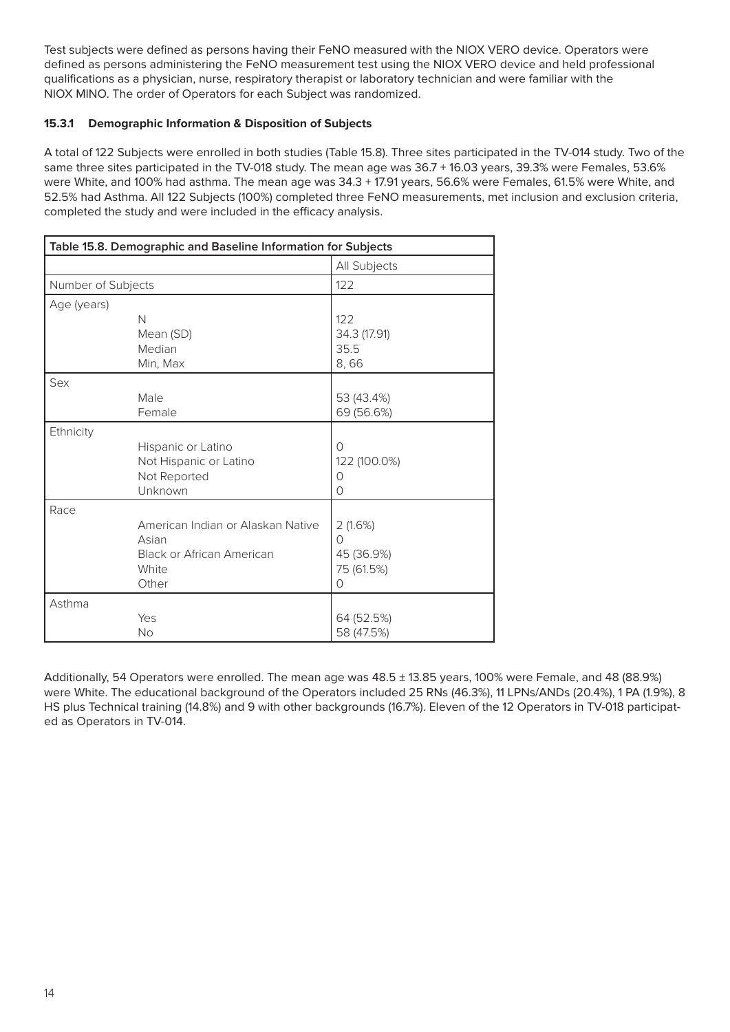Test subjects were defined as persons having their FeNO measured with the NIOX VERO device. Operators were defined as persons administering the FeNO measurement test using the NIOX VERO device and held professional qualifications as a physician, nurse, respiratory therapist or laboratory technician and were familiar with the NIOX MINO. The order of Operators for each Subject was randomized.

### **15.3.1 Demographic Information & Disposition of Subjects**

A total of 122 Subjects were enrolled in both studies (Table 15.8). Three sites participated in the TV-014 study. Two of the same three sites participated in the TV-018 study. The mean age was 36.7 + 16.03 years, 39.3% were Females, 53.6% were White, and 100% had asthma. The mean age was 34.3 + 17.91 years, 56.6% were Females, 61.5% were White, and 52.5% had Asthma. All 122 Subjects (100%) completed three FeNO measurements, met inclusion and exclusion criteria, completed the study and were included in the efficacy analysis.

| Table 15.8. Demographic and Baseline Information for Subjects |                                                                                                  |                                                            |  |  |
|---------------------------------------------------------------|--------------------------------------------------------------------------------------------------|------------------------------------------------------------|--|--|
|                                                               |                                                                                                  | All Subjects                                               |  |  |
| Number of Subjects                                            |                                                                                                  | 122                                                        |  |  |
| Age (years)                                                   | N<br>Mean (SD)                                                                                   | 122<br>34.3 (17.91)                                        |  |  |
|                                                               | Median<br>Min, Max                                                                               | 35.5<br>8,66                                               |  |  |
| Sex                                                           | Male<br>Female                                                                                   | 53 (43.4%)<br>69 (56.6%)                                   |  |  |
| Ethnicity                                                     | Hispanic or Latino<br>Not Hispanic or Latino<br>Not Reported<br>Unknown                          | $\Omega$<br>122 (100.0%)<br>O<br>$\Omega$                  |  |  |
| Race                                                          | American Indian or Alaskan Native<br>Asian<br><b>Black or African American</b><br>White<br>Other | 2(1.6%)<br>$\circ$<br>45 (36.9%)<br>75 (61.5%)<br>$\Omega$ |  |  |
| Asthma                                                        | Yes<br><b>No</b>                                                                                 | 64 (52.5%)<br>58 (47.5%)                                   |  |  |

Additionally, 54 Operators were enrolled. The mean age was 48.5 ± 13.85 years, 100% were Female, and 48 (88.9%) were White. The educational background of the Operators included 25 RNs (46.3%), 11 LPNs/ANDs (20.4%), 1 PA (1.9%), 8 HS plus Technical training (14.8%) and 9 with other backgrounds (16.7%). Eleven of the 12 Operators in TV-018 participated as Operators in TV-014.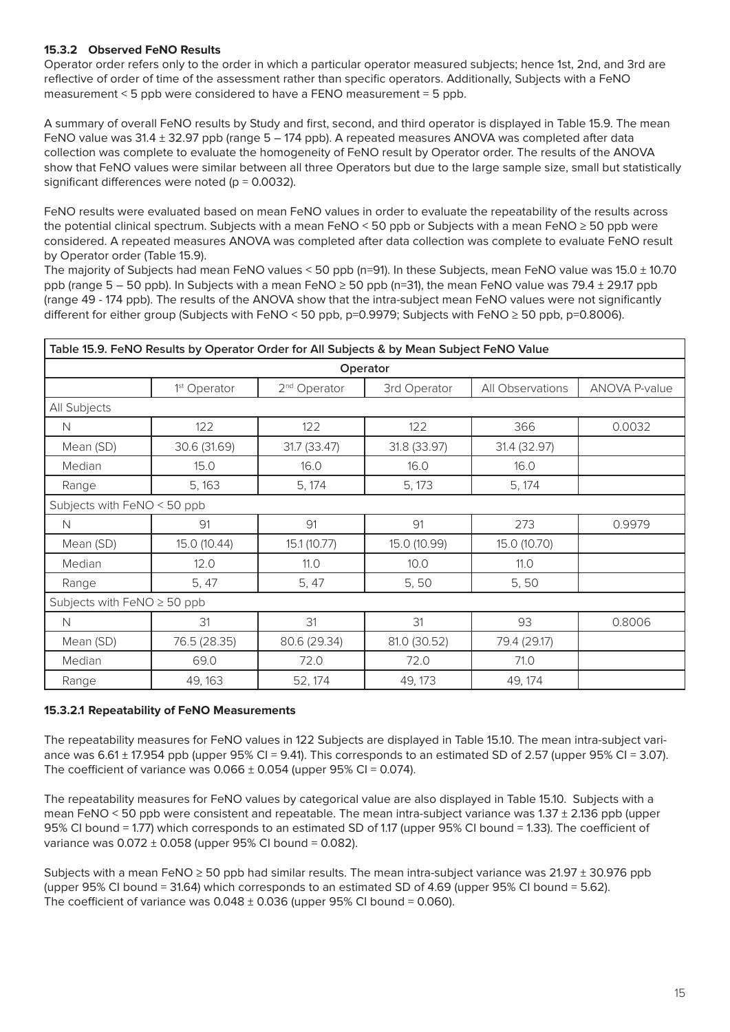### **15.3.2 Observed FeNO Results**

Operator order refers only to the order in which a particular operator measured subjects; hence 1st, 2nd, and 3rd are reflective of order of time of the assessment rather than specific operators. Additionally, Subjects with a FeNO measurement < 5 ppb were considered to have a FENO measurement = 5 ppb.

A summary of overall FeNO results by Study and first, second, and third operator is displayed in Table 15.9. The mean FeNO value was 31.4 ± 32.97 ppb (range 5 – 174 ppb). A repeated measures ANOVA was completed after data collection was complete to evaluate the homogeneity of FeNO result by Operator order. The results of the ANOVA show that FeNO values were similar between all three Operators but due to the large sample size, small but statistically significant differences were noted ( $p = 0.0032$ ).

FeNO results were evaluated based on mean FeNO values in order to evaluate the repeatability of the results across the potential clinical spectrum. Subjects with a mean FeNO < 50 ppb or Subjects with a mean FeNO ≥ 50 ppb were considered. A repeated measures ANOVA was completed after data collection was complete to evaluate FeNO result by Operator order (Table 15.9).

The majority of Subjects had mean FeNO values < 50 ppb (n=91). In these Subjects, mean FeNO value was 15.0 ± 10.70 ppb (range  $5 - 50$  ppb). In Subjects with a mean FeNO  $\geq 50$  ppb (n=31), the mean FeNO value was 79.4  $\pm$  29.17 ppb (range 49 - 174 ppb). The results of the ANOVA show that the intra-subject mean FeNO values were not significantly different for either group (Subjects with FeNO < 50 ppb, p=0.9979; Subjects with FeNO ≥ 50 ppb, p=0.8006).

| Table 15.9. FeNO Results by Operator Order for All Subjects & by Mean Subject FeNO Value |                                  |                          |              |                  |                      |  |
|------------------------------------------------------------------------------------------|----------------------------------|--------------------------|--------------|------------------|----------------------|--|
|                                                                                          |                                  |                          | Operator     |                  |                      |  |
|                                                                                          | 1 <sup>st</sup> Operator         | 2 <sup>nd</sup> Operator | 3rd Operator | All Observations | <b>ANOVA P-value</b> |  |
| All Subjects                                                                             |                                  |                          |              |                  |                      |  |
| N                                                                                        | 122                              | 122                      | 122          | 366              | 0.0032               |  |
| Mean (SD)                                                                                | 30.6 (31.69)                     | 31.7 (33.47)             | 31.8 (33.97) | 31.4 (32.97)     |                      |  |
| Median                                                                                   | 15.0                             | 16.0                     | 16.0         | 16.0             |                      |  |
| Range                                                                                    | 5, 163                           | 5, 174                   | 5, 173       | 5, 174           |                      |  |
| Subjects with FeNO < 50 ppb                                                              |                                  |                          |              |                  |                      |  |
| N                                                                                        | 91                               | 91                       | 91           | 273              | 0.9979               |  |
| Mean (SD)                                                                                | 15.0 (10.44)                     | 15.1 (10.77)             | 15.0 (10.99) | 15.0 (10.70)     |                      |  |
| Median                                                                                   | 12.0                             | 11.0                     | 10.0         | 11.0             |                      |  |
| Range                                                                                    | 5, 47                            | 5, 47                    | 5,50         | 5,50             |                      |  |
|                                                                                          | Subjects with $FeNO \geq 50$ ppb |                          |              |                  |                      |  |
| N                                                                                        | 31                               | 31                       | 31           | 93               | 0.8006               |  |
| Mean (SD)                                                                                | 76.5 (28.35)                     | 80.6 (29.34)             | 81.0 (30.52) | 79.4 (29.17)     |                      |  |
| Median                                                                                   | 69.0                             | 72.0                     | 72.0         | 71.0             |                      |  |
| Range                                                                                    | 49, 163                          | 52, 174                  | 49, 173      | 49, 174          |                      |  |

#### **15.3.2.1 Repeatability of FeNO Measurements**

The repeatability measures for FeNO values in 122 Subjects are displayed in Table 15.10. The mean intra-subject variance was  $6.61 \pm 17.954$  ppb (upper  $95\%$  CI = 9.41). This corresponds to an estimated SD of 2.57 (upper  $95\%$  CI = 3.07). The coefficient of variance was  $0.066 \pm 0.054$  (upper 95% CI = 0.074).

The repeatability measures for FeNO values by categorical value are also displayed in Table 15.10. Subjects with a mean FeNO < 50 ppb were consistent and repeatable. The mean intra-subject variance was 1.37 ± 2.136 ppb (upper 95% CI bound = 1.77) which corresponds to an estimated SD of 1.17 (upper 95% CI bound = 1.33). The coefficient of variance was  $0.072 \pm 0.058$  (upper 95% CI bound = 0.082).

Subjects with a mean FeNO  $\geq$  50 ppb had similar results. The mean intra-subject variance was 21.97  $\pm$  30.976 ppb (upper 95% CI bound = 31.64) which corresponds to an estimated SD of 4.69 (upper 95% CI bound = 5.62). The coefficient of variance was  $0.048 \pm 0.036$  (upper 95% CI bound = 0.060).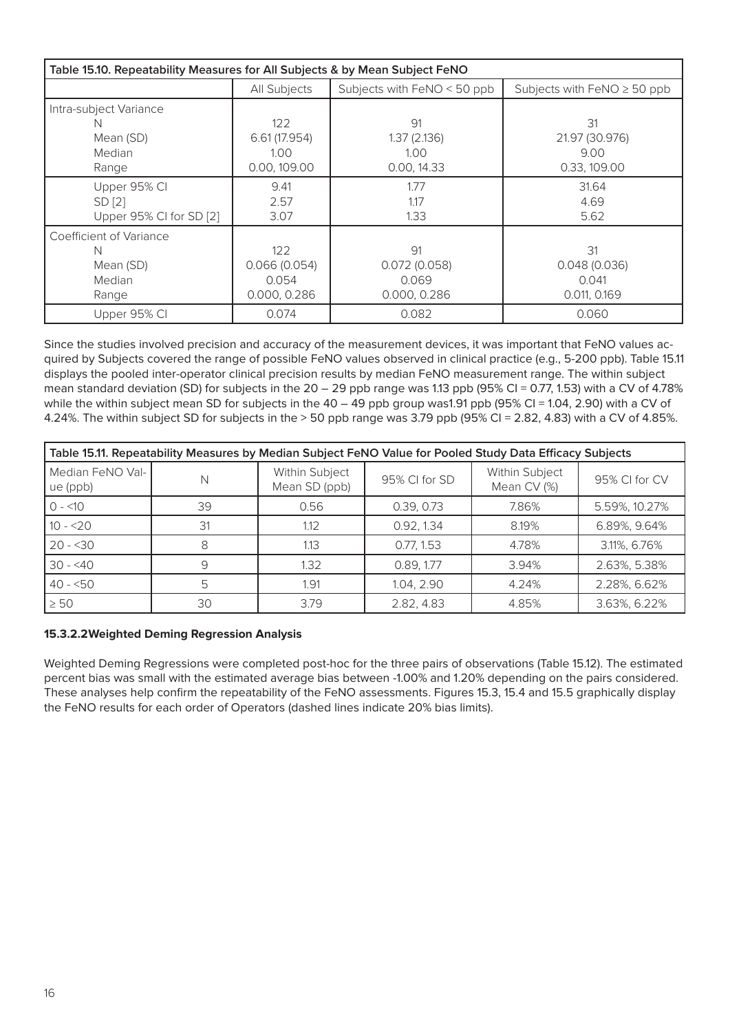| Table 15.10. Repeatability Measures for All Subjects & by Mean Subject FeNO |               |                               |                                  |  |  |  |
|-----------------------------------------------------------------------------|---------------|-------------------------------|----------------------------------|--|--|--|
|                                                                             | All Subjects  | Subjects with $FeNO < 50$ ppb | Subjects with $FeNO \geq 50$ ppb |  |  |  |
| Intra-subject Variance                                                      |               |                               |                                  |  |  |  |
| N                                                                           | 122           | 91                            | 31                               |  |  |  |
| Mean (SD)                                                                   | 6.61 (17.954) | 1.37(2.136)                   | 21.97 (30.976)                   |  |  |  |
| Median                                                                      | 1.00          | 1.00                          | 9.00                             |  |  |  |
| Range                                                                       | 0.00, 109.00  | 0.00, 14.33                   | 0.33, 109.00                     |  |  |  |
| Upper 95% CI                                                                | 9.41          | 1.77                          | 31.64                            |  |  |  |
| SD [2]                                                                      | 2.57          | 1.17                          | 4.69                             |  |  |  |
| Upper 95% CI for SD [2]                                                     | 3.07          | 1.33                          | 5.62                             |  |  |  |
| Coefficient of Variance                                                     |               |                               |                                  |  |  |  |
| N                                                                           | 122           | 91                            | 31                               |  |  |  |
| Mean (SD)                                                                   | 0.066(0.054)  | 0.072(0.058)                  | 0.048(0.036)                     |  |  |  |
| Median                                                                      | 0.054         | 0.069                         | 0.041                            |  |  |  |
| Range                                                                       | 0.000, 0.286  | 0.000, 0.286                  | 0.011, 0.169                     |  |  |  |
| Upper 95% CI                                                                | 0.074         | 0.082                         | 0.060                            |  |  |  |

Since the studies involved precision and accuracy of the measurement devices, it was important that FeNO values acquired by Subjects covered the range of possible FeNO values observed in clinical practice (e.g., 5-200 ppb). Table 15.11 displays the pooled inter-operator clinical precision results by median FeNO measurement range. The within subject mean standard deviation (SD) for subjects in the  $20 - 29$  ppb range was 1.13 ppb (95% CI = 0.77, 1.53) with a CV of 4.78% while the within subject mean SD for subjects in the  $40 - 49$  ppb group was1.91 ppb (95% CI = 1.04, 2.90) with a CV of 4.24%. The within subject SD for subjects in the > 50 ppb range was 3.79 ppb (95% CI = 2.82, 4.83) with a CV of 4.85%.

| Table 15.11. Repeatability Measures by Median Subject FeNO Value for Pooled Study Data Efficacy Subjects |    |                                 |               |                               |               |  |
|----------------------------------------------------------------------------------------------------------|----|---------------------------------|---------------|-------------------------------|---------------|--|
| Median FeNO Val-<br>ue (ppb)                                                                             | N  | Within Subject<br>Mean SD (ppb) | 95% CI for SD | Within Subject<br>Mean CV (%) | 95% CI for CV |  |
| $0 - 10$                                                                                                 | 39 | 0.56                            | 0.39, 0.73    | 7.86%                         | 5.59%, 10.27% |  |
| $10 - 20$                                                                                                | 31 | 1.12                            | 0.92, 1.34    | 8.19%                         | 6.89%, 9.64%  |  |
| $20 - 30$                                                                                                |    | 1.13                            | 0.77, 1.53    | 4.78%                         | 3.11%, 6.76%  |  |
| $30 - 40$                                                                                                | 9  | 1.32                            | 0.89, 1.77    | 3.94%                         | 2.63%, 5.38%  |  |
| $40 - 50$                                                                                                | 5  | 1.91                            | 1.04, 2.90    | 4.24%                         | 2.28%, 6.62%  |  |
| $\geq 50$                                                                                                | 30 | 3.79                            | 2.82, 4.83    | 4.85%                         | 3.63%, 6.22%  |  |

### **15.3.2.2Weighted Deming Regression Analysis**

Weighted Deming Regressions were completed post-hoc for the three pairs of observations (Table 15.12). The estimated percent bias was small with the estimated average bias between -1.00% and 1.20% depending on the pairs considered. These analyses help confirm the repeatability of the FeNO assessments. Figures 15.3, 15.4 and 15.5 graphically display the FeNO results for each order of Operators (dashed lines indicate 20% bias limits).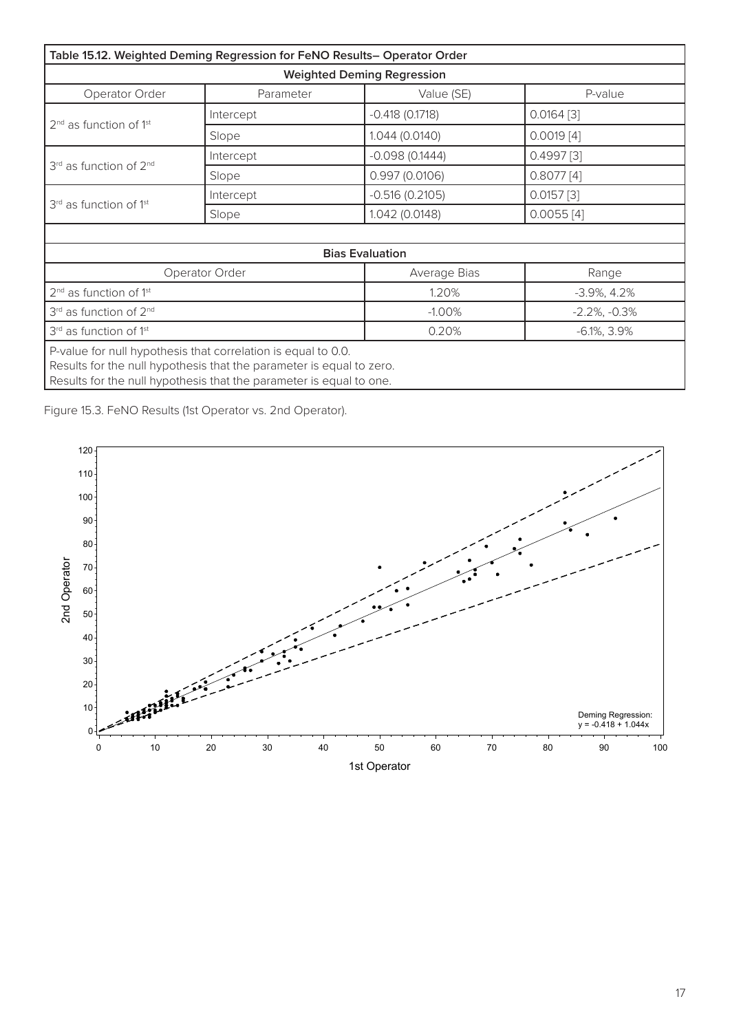| Table 15.12. Weighted Deming Regression for FeNO Results- Operator Order                                                                                                                                     |                                    |                                   |                     |  |  |  |
|--------------------------------------------------------------------------------------------------------------------------------------------------------------------------------------------------------------|------------------------------------|-----------------------------------|---------------------|--|--|--|
|                                                                                                                                                                                                              |                                    | <b>Weighted Deming Regression</b> |                     |  |  |  |
| Operator Order                                                                                                                                                                                               | Parameter<br>Value (SE)<br>P-value |                                   |                     |  |  |  |
|                                                                                                                                                                                                              | Intercept                          | $-0.418(0.1718)$                  | $0.0164$ [3]        |  |  |  |
| $2nd$ as function of 1 <sup>st</sup>                                                                                                                                                                         | Slope                              | 1.044 (0.0140)                    | $0.0019$ [4]        |  |  |  |
|                                                                                                                                                                                                              | Intercept                          | $-0.098(0.1444)$                  | 0.4997[3]           |  |  |  |
| 3rd as function of 2 <sup>nd</sup>                                                                                                                                                                           | Slope                              | 0.997(0.0106)                     | 0.8077[4]           |  |  |  |
|                                                                                                                                                                                                              | Intercept                          | $-0.516(0.2105)$                  | $0.0157$ [3]        |  |  |  |
| 3 <sup>rd</sup> as function of 1 <sup>st</sup>                                                                                                                                                               | Slope                              | 1.042 (0.0148)                    | 0.0055[4]           |  |  |  |
|                                                                                                                                                                                                              |                                    |                                   |                     |  |  |  |
|                                                                                                                                                                                                              |                                    | <b>Bias Evaluation</b>            |                     |  |  |  |
|                                                                                                                                                                                                              | Operator Order                     | Average Bias                      | Range               |  |  |  |
| $2nd$ as function of 1 <sup>st</sup>                                                                                                                                                                         |                                    | 1.20%                             | $-3.9\%$ , 4.2%     |  |  |  |
| 3rd as function of 2 <sup>nd</sup>                                                                                                                                                                           |                                    | $-1.00%$                          | $-2.2\%$ , $-0.3\%$ |  |  |  |
| 3 <sup>rd</sup> as function of 1 <sup>st</sup>                                                                                                                                                               |                                    | 0.20%                             | $-6.1\%$ , 3.9%     |  |  |  |
| P-value for null hypothesis that correlation is equal to 0.0.<br>Results for the null hypothesis that the parameter is equal to zero.<br>Results for the null hypothesis that the parameter is equal to one. |                                    |                                   |                     |  |  |  |

Figure 15.3. FeNO Results (1st Operator vs. 2nd Operator). Fendro Results (1st Operator) for Poemator values of  $\mathcal{D}$ 

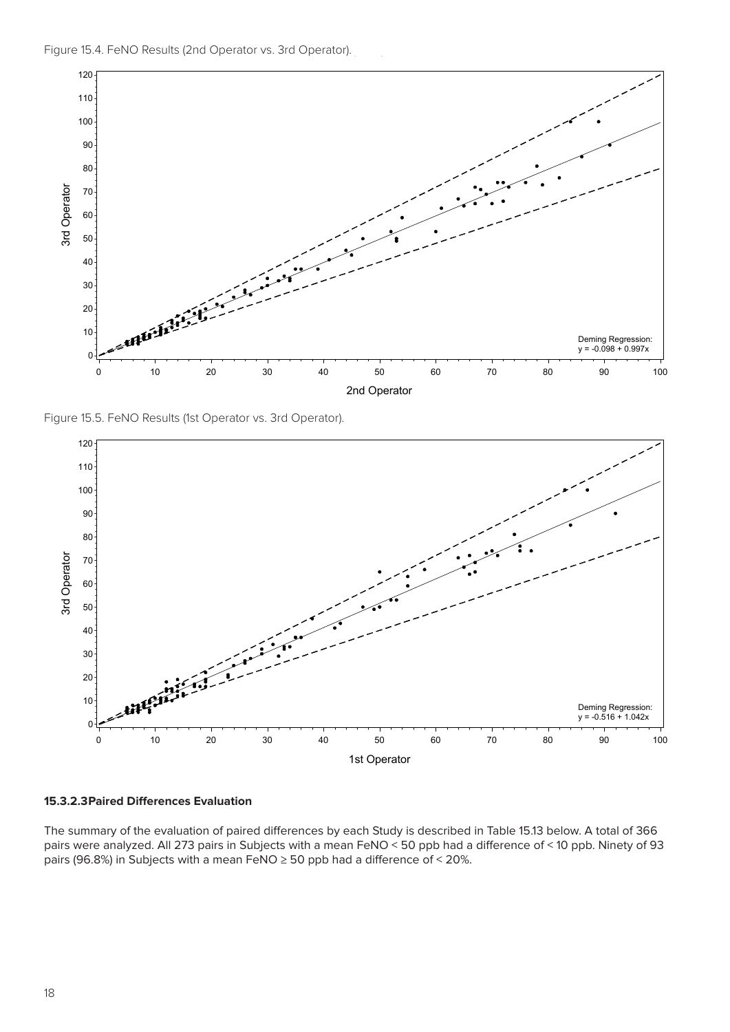



Figure 15.5. FeNO Results (1st Operator vs. 3rd Operator).  $[1666, 1666]$ 



of order order order than specific order than  $s$ Note: Operator order refers only to the order in which a particular operator measured subjects; hence 1st, 2nd, and 3rd are reflective **15.3.2.3Paired Differences Evaluation**

The summary of the evaluation of paired differences by each Study is described in Table 15.13 below. A total of 366 pairs were analyzed. All 273 pairs in Subjects with a mean FeNO < 50 ppb had a difference of < 10 ppb. Ninety of 93 pairs (96.8%) in Subjects with a mean FeNO ≥ 50 ppb had a difference of < 20%.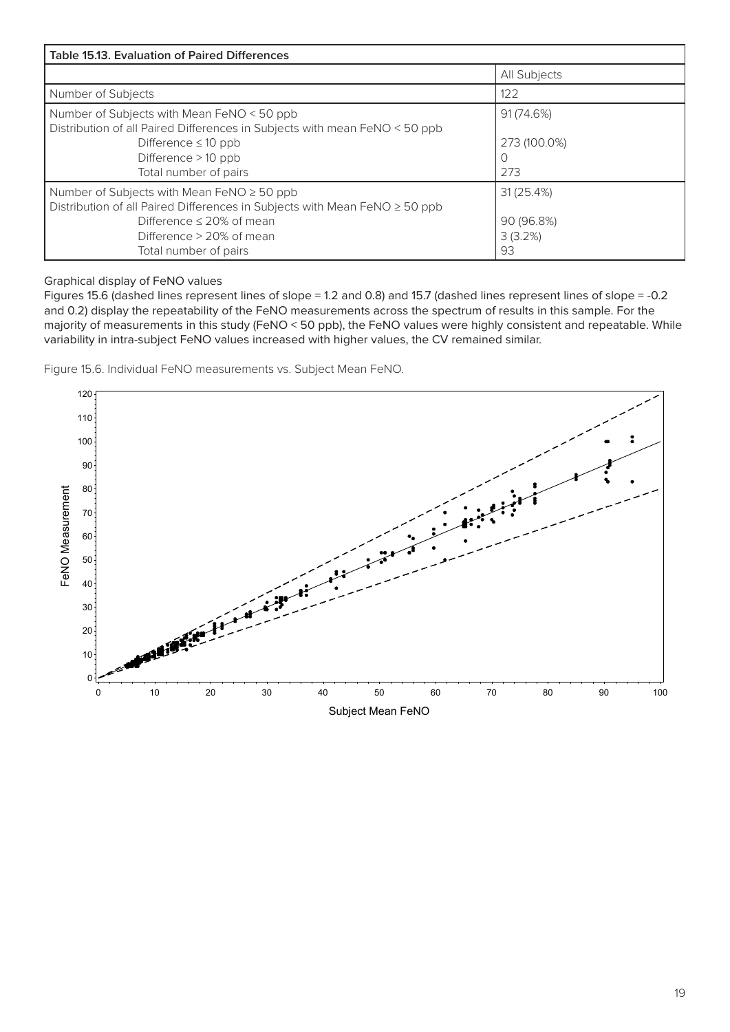| <b>Table 15.13. Evaluation of Paired Differences</b>                                                                                                                                                                   |                                          |  |  |  |  |  |  |
|------------------------------------------------------------------------------------------------------------------------------------------------------------------------------------------------------------------------|------------------------------------------|--|--|--|--|--|--|
|                                                                                                                                                                                                                        | All Subjects                             |  |  |  |  |  |  |
| Number of Subjects                                                                                                                                                                                                     | 122                                      |  |  |  |  |  |  |
| Number of Subjects with Mean FeNO < 50 ppb<br>Distribution of all Paired Differences in Subjects with mean FeNO < 50 ppb<br>Difference $\leq 10$ ppb<br>Difference $>10$ ppb<br>Total number of pairs                  | 91 (74.6%)<br>273 (100.0%)<br>273        |  |  |  |  |  |  |
| Number of Subjects with Mean FeNO $\geq$ 50 ppb<br>Distribution of all Paired Differences in Subjects with Mean FeNO ≥ 50 ppb<br>Difference $\leq$ 20% of mean<br>Difference $> 20\%$ of mean<br>Total number of pairs | 31(25.4%)<br>90 (96.8%)<br>3(3.2%)<br>93 |  |  |  |  |  |  |

Graphical display of FeNO values

Figures 15.6 (dashed lines represent lines of slope = 1.2 and 0.8) and 15.7 (dashed lines represent lines of slope = -0.2 and 0.2) display the repeatability of the FeNO measurements across the spectrum of results in this sample. For the majority of measurements in this study (FeNO < 50 ppb), the FeNO values were highly consistent and repeatable. While variability in intra-subject FeNO values increased with higher values, the CV remained similar. Figure value

Figure 15.6. Individual FeNO measurements vs. Subject Mean FeNO. ect Mean FeNO.

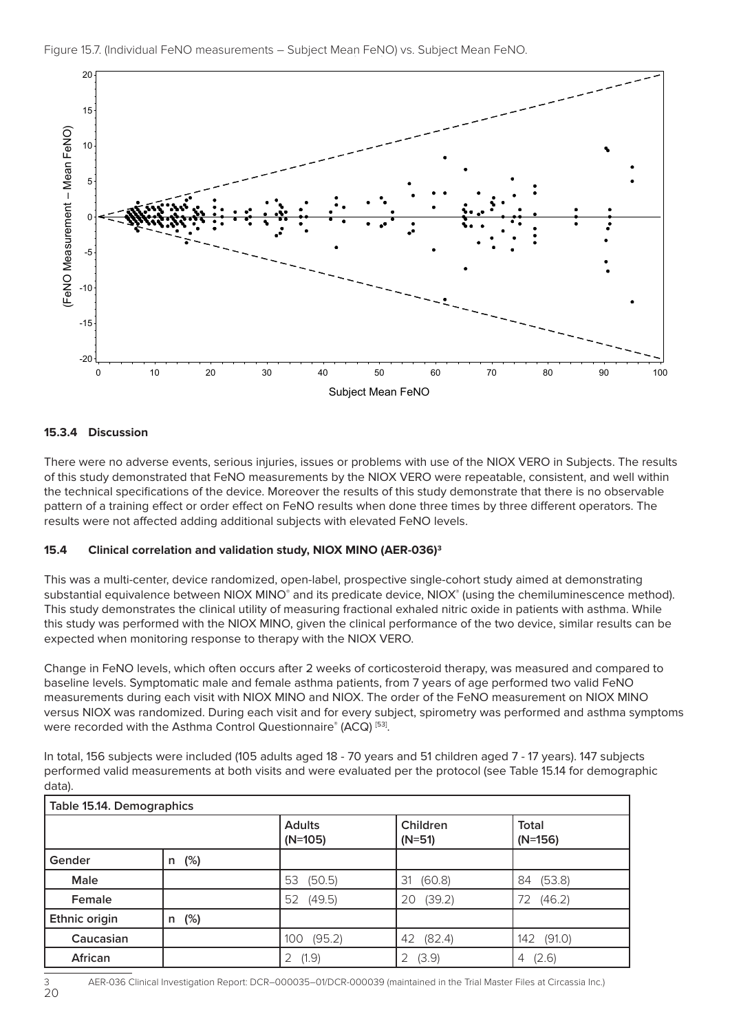

# Note: Subjects with a FeNO measurement recorded as < 5 ppb were considered to have a FeNO measurement = 5 ppb. **15.3.4 Discussion**

20

There were no adverse events, serious injuries, issues or problems with use of the NIOX VERO in Subjects. The results of this study demonstrated that FeNO measurements by the NIOX VERO were repeatable, consistent, and well within the technical specifications of the device. Moreover the results of this study demonstrate that there is no observable pattern of a training effect or order effect on FeNO results when done three times by three different operators. The results were not affected adding additional subjects with elevated FeNO levels.

### **15.4 Clinical correlation and validation study, NIOX MINO (AER-036)3**

This was a multi-center, device randomized, open-label, prospective single-cohort study aimed at demonstrating substantial equivalence between NIOX MINO<sup>®</sup> and its predicate device, NIOX<sup>®</sup> (using the chemiluminescence method). This study demonstrates the clinical utility of measuring fractional exhaled nitric oxide in patients with asthma. While this study was performed with the NIOX MINO, given the clinical performance of the two device, similar results can be expected when monitoring response to therapy with the NIOX VERO.

Change in FeNO levels, which often occurs after 2 weeks of corticosteroid therapy, was measured and compared to baseline levels. Symptomatic male and female asthma patients, from 7 years of age performed two valid FeNO measurements during each visit with NIOX MINO and NIOX. The order of the FeNO measurement on NIOX MINO versus NIOX was randomized. During each visit and for every subject, spirometry was performed and asthma symptoms were recorded with the Asthma Control Questionnaire® (ACQ) [53].

In total, 156 subjects were included (105 adults aged 18 - 70 years and 51 children aged 7 - 17 years). 147 subjects performed valid measurements at both visits and were evaluated per the protocol (see Table 15.14 for demographic data).

| Table 15.14. Demographics |             |                            |                      |                    |  |  |  |  |
|---------------------------|-------------|----------------------------|----------------------|--------------------|--|--|--|--|
|                           |             | <b>Adults</b><br>$(N=105)$ | Children<br>$(N=51)$ | Total<br>$(N=156)$ |  |  |  |  |
| Gender                    | $(\%)$<br>n |                            |                      |                    |  |  |  |  |
| <b>Male</b>               |             | 53<br>(50.5)               | (60.8)<br>31         | (53.8)<br>84       |  |  |  |  |
| Female                    |             | 52<br>(49.5)               | (39.2)<br>20         | (46.2)<br>72       |  |  |  |  |
| Ethnic origin             | (%)<br>n    |                            |                      |                    |  |  |  |  |
| Caucasian                 |             | (95.2)<br>100              | (82.4)<br>42         | (91.0)<br>142      |  |  |  |  |
| African                   |             | (1.9)<br>2                 | (3.9)                | (2.6)<br>4         |  |  |  |  |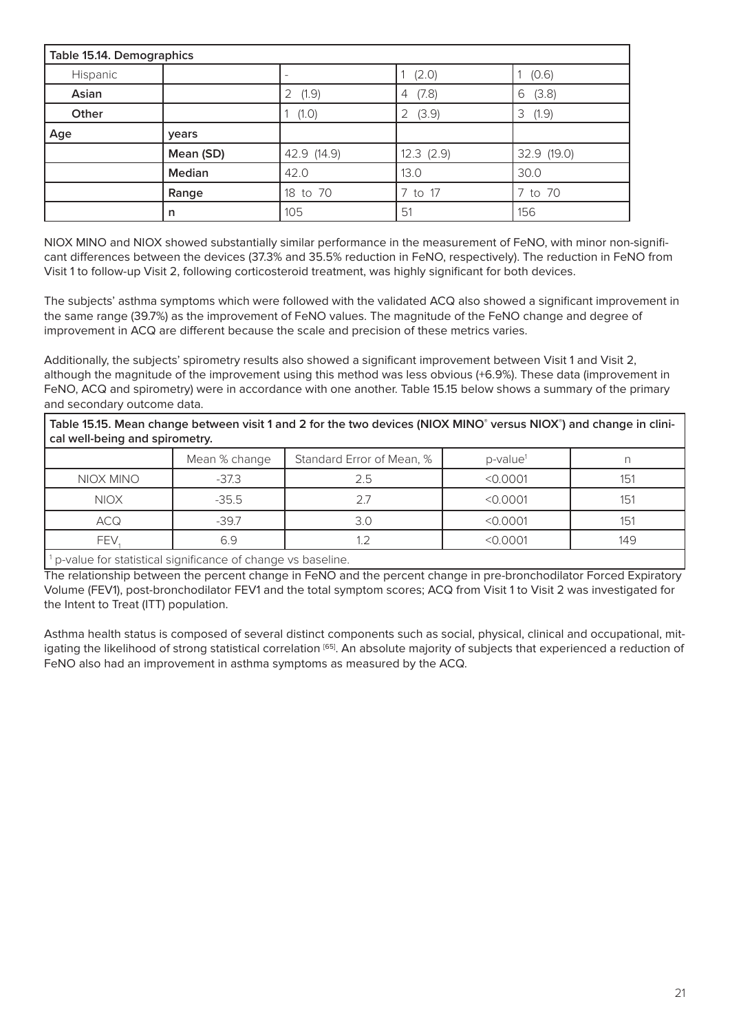| Table 15.14. Demographics |           |             |            |             |  |  |  |
|---------------------------|-----------|-------------|------------|-------------|--|--|--|
| Hispanic                  |           |             | (2.0)      | (0.6)       |  |  |  |
| Asian                     |           | (1.9)<br>2  | (7.8)<br>4 | (3.8)<br>6  |  |  |  |
| Other                     |           | (1.0)       | (3.9)<br>2 | 3<br>(1.9)  |  |  |  |
| Age                       | years     |             |            |             |  |  |  |
|                           | Mean (SD) | 42.9 (14.9) | 12.3(2.9)  | 32.9 (19.0) |  |  |  |
|                           | Median    | 42.0        | 13.0       | 30.0        |  |  |  |
|                           | Range     | 18 to 70    | 7 to 17    | 7 to 70     |  |  |  |
|                           | n         | 105         | 51         | 156         |  |  |  |

NIOX MINO and NIOX showed substantially similar performance in the measurement of FeNO, with minor non-significant differences between the devices (37.3% and 35.5% reduction in FeNO, respectively). The reduction in FeNO from Visit 1 to follow-up Visit 2, following corticosteroid treatment, was highly significant for both devices.

The subjects' asthma symptoms which were followed with the validated ACQ also showed a significant improvement in the same range (39.7%) as the improvement of FeNO values. The magnitude of the FeNO change and degree of improvement in ACQ are different because the scale and precision of these metrics varies.

Additionally, the subjects' spirometry results also showed a significant improvement between Visit 1 and Visit 2, although the magnitude of the improvement using this method was less obvious (+6.9%). These data (improvement in FeNO, ACQ and spirometry) were in accordance with one another. Table 15.15 below shows a summary of the primary and secondary outcome data.

**Table 15.15. Mean change between visit 1 and 2 for the two devices (NIOX MINO® versus NIOX® ) and change in clinical well-being and spirometry.**

|             | Mean % change | Standard Error of Mean, % | $p$ -value <sup>1</sup> |     |
|-------------|---------------|---------------------------|-------------------------|-----|
| NIOX MINO   | $-37.3$       | 25                        | < 0.0001                | 151 |
| <b>NIOX</b> | $-35.5$       | フフ                        | < 0.0001                | 151 |
| <b>ACQ</b>  | $-39.7$       |                           | < 0.0001                | 151 |
| FEV         | 6.9           |                           | < 0.0001                | 149 |

<sup>1</sup> p-value for statistical significance of change vs baseline.

The relationship between the percent change in FeNO and the percent change in pre-bronchodilator Forced Expiratory Volume (FEV1), post-bronchodilator FEV1 and the total symptom scores; ACQ from Visit 1 to Visit 2 was investigated for the Intent to Treat (ITT) population.

Asthma health status is composed of several distinct components such as social, physical, clinical and occupational, mitigating the likelihood of strong statistical correlation [65]. An absolute majority of subjects that experienced a reduction of FeNO also had an improvement in asthma symptoms as measured by the ACQ.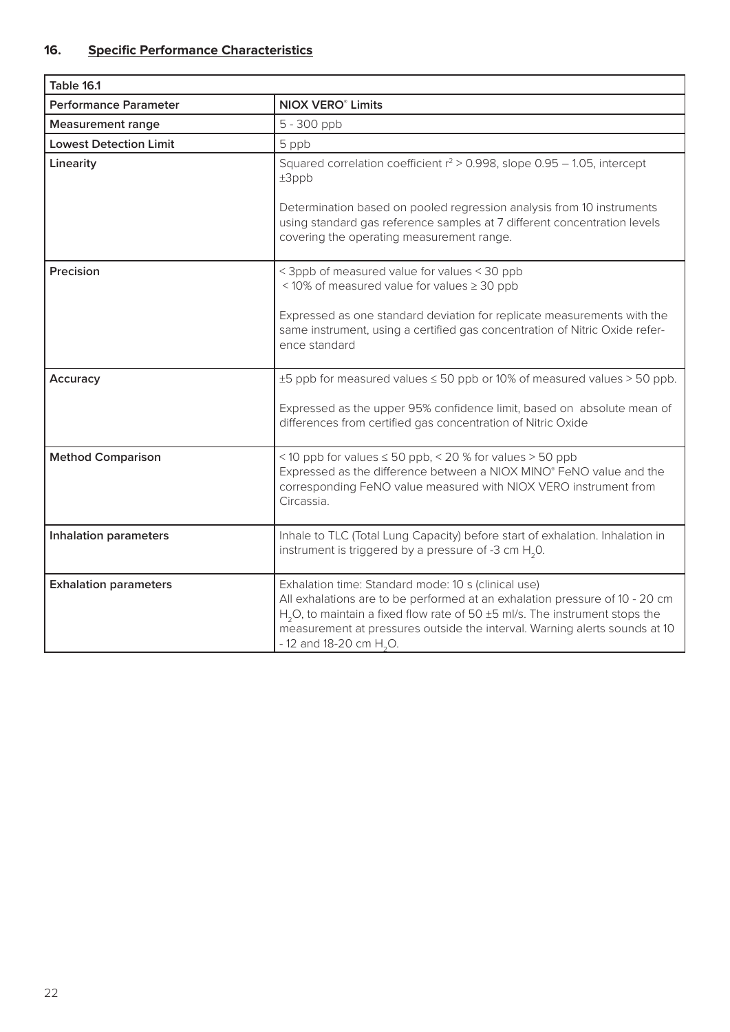| <b>Table 16.1</b>             |                                                                                                                                                                                                                                                                                                                                                     |
|-------------------------------|-----------------------------------------------------------------------------------------------------------------------------------------------------------------------------------------------------------------------------------------------------------------------------------------------------------------------------------------------------|
| <b>Performance Parameter</b>  | <b>NIOX VERO<sup>®</sup> Limits</b>                                                                                                                                                                                                                                                                                                                 |
| <b>Measurement range</b>      | 5 - 300 ppb                                                                                                                                                                                                                                                                                                                                         |
| <b>Lowest Detection Limit</b> | 5 ppb                                                                                                                                                                                                                                                                                                                                               |
| Linearity                     | Squared correlation coefficient $r^2 > 0.998$ , slope 0.95 - 1.05, intercept<br>$±3$ ppb<br>Determination based on pooled regression analysis from 10 instruments<br>using standard gas reference samples at 7 different concentration levels                                                                                                       |
|                               | covering the operating measurement range.                                                                                                                                                                                                                                                                                                           |
| Precision                     | < 3ppb of measured value for values < 30 ppb<br><10% of measured value for values ≥ 30 ppb                                                                                                                                                                                                                                                          |
|                               | Expressed as one standard deviation for replicate measurements with the<br>same instrument, using a certified gas concentration of Nitric Oxide refer-<br>ence standard                                                                                                                                                                             |
| Accuracy                      | ±5 ppb for measured values ≤ 50 ppb or 10% of measured values > 50 ppb.                                                                                                                                                                                                                                                                             |
|                               | Expressed as the upper 95% confidence limit, based on absolute mean of<br>differences from certified gas concentration of Nitric Oxide                                                                                                                                                                                                              |
| <b>Method Comparison</b>      | <10 ppb for values $\leq$ 50 ppb, < 20 % for values > 50 ppb<br>Expressed as the difference between a NIOX MINO® FeNO value and the<br>corresponding FeNO value measured with NIOX VERO instrument from<br>Circassia.                                                                                                                               |
| <b>Inhalation parameters</b>  | Inhale to TLC (Total Lung Capacity) before start of exhalation. Inhalation in<br>instrument is triggered by a pressure of -3 cm $H$ <sub>2</sub> 0.                                                                                                                                                                                                 |
| <b>Exhalation parameters</b>  | Exhalation time: Standard mode: 10 s (clinical use)<br>All exhalations are to be performed at an exhalation pressure of 10 - 20 cm<br>H <sub>2</sub> O, to maintain a fixed flow rate of 50 ±5 ml/s. The instrument stops the<br>measurement at pressures outside the interval. Warning alerts sounds at 10<br>$-12$ and 18-20 cm H <sub>2</sub> O. |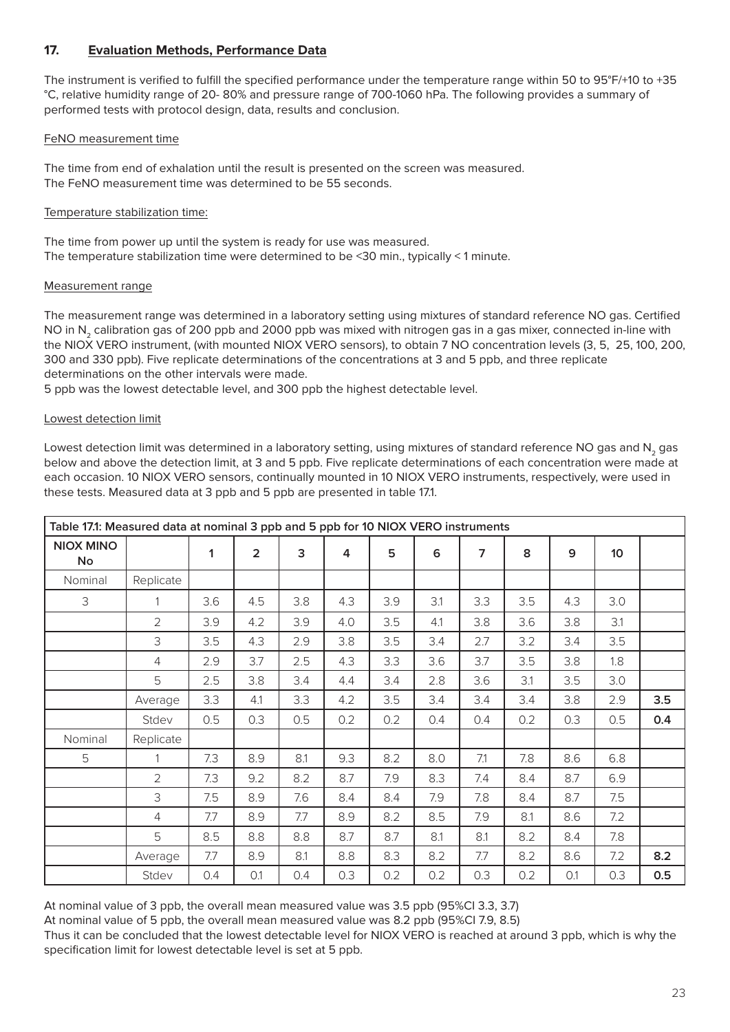# **17. Evaluation Methods, Performance Data**

The instrument is verified to fulfill the specified performance under the temperature range within 50 to 95°F/+10 to +35 °C, relative humidity range of 20- 80% and pressure range of 700-1060 hPa. The following provides a summary of performed tests with protocol design, data, results and conclusion.

### FeNO measurement time

The time from end of exhalation until the result is presented on the screen was measured. The FeNO measurement time was determined to be 55 seconds.

### Temperature stabilization time:

The time from power up until the system is ready for use was measured. The temperature stabilization time were determined to be <30 min., typically < 1 minute.

### Measurement range

The measurement range was determined in a laboratory setting using mixtures of standard reference NO gas. Certified NO in N<sub>2</sub> calibration gas of 200 ppb and 2000 ppb was mixed with nitrogen gas in a gas mixer, connected in-line with the NIOX VERO instrument, (with mounted NIOX VERO sensors), to obtain 7 NO concentration levels (3, 5, 25, 100, 200, 300 and 330 ppb). Five replicate determinations of the concentrations at 3 and 5 ppb, and three replicate determinations on the other intervals were made.

5 ppb was the lowest detectable level, and 300 ppb the highest detectable level.

### Lowest detection limit

Lowest detection limit was determined in a laboratory setting, using mixtures of standard reference NO gas and N<sub>2</sub> gas below and above the detection limit, at 3 and 5 ppb. Five replicate determinations of each concentration were made at each occasion. 10 NIOX VERO sensors, continually mounted in 10 NIOX VERO instruments, respectively, were used in these tests. Measured data at 3 ppb and 5 ppb are presented in table 17.1.

| Table 17.1: Measured data at nominal 3 ppb and 5 ppb for 10 NIOX VERO instruments |           |     |                |     |     |     |     |     |     |     |                 |     |
|-----------------------------------------------------------------------------------|-----------|-----|----------------|-----|-----|-----|-----|-----|-----|-----|-----------------|-----|
| <b>NIOX MINO</b><br><b>No</b>                                                     |           | 1   | $\overline{2}$ | 3   | 4   | 5   | 6   | 7   | 8   | 9   | 10 <sup>°</sup> |     |
| Nominal                                                                           | Replicate |     |                |     |     |     |     |     |     |     |                 |     |
| 3                                                                                 |           | 3.6 | 4.5            | 3.8 | 4.3 | 3.9 | 3.1 | 3.3 | 3.5 | 4.3 | 3.0             |     |
|                                                                                   | 2         | 3.9 | 4.2            | 3.9 | 4.0 | 3.5 | 4.1 | 3.8 | 3.6 | 3.8 | 3.1             |     |
|                                                                                   | 3         | 3.5 | 4.3            | 2.9 | 3.8 | 3.5 | 3.4 | 2.7 | 3.2 | 3.4 | 3.5             |     |
|                                                                                   | 4         | 2.9 | 3.7            | 2.5 | 4.3 | 3.3 | 3.6 | 3.7 | 3.5 | 3.8 | 1.8             |     |
|                                                                                   | 5         | 2.5 | 3.8            | 3.4 | 4.4 | 3.4 | 2.8 | 3.6 | 3.1 | 3.5 | 3.0             |     |
|                                                                                   | Average   | 3.3 | 4.1            | 3.3 | 4.2 | 3.5 | 3.4 | 3.4 | 3.4 | 3.8 | 2.9             | 3.5 |
|                                                                                   | Stdev     | 0.5 | 0.3            | 0.5 | 0.2 | 0.2 | 0.4 | 0.4 | 0.2 | 0.3 | 0.5             | 0.4 |
| Nominal                                                                           | Replicate |     |                |     |     |     |     |     |     |     |                 |     |
| 5                                                                                 |           | 7.3 | 8.9            | 8.1 | 9.3 | 8.2 | 8.0 | 7.1 | 7.8 | 8.6 | 6.8             |     |
|                                                                                   | 2         | 7.3 | 9.2            | 8.2 | 8.7 | 7.9 | 8.3 | 7.4 | 8.4 | 8.7 | 6.9             |     |
|                                                                                   | 3         | 7.5 | 8.9            | 7.6 | 8.4 | 8.4 | 7.9 | 7.8 | 8.4 | 8.7 | 7.5             |     |
|                                                                                   | 4         | 7.7 | 8.9            | 7.7 | 8.9 | 8.2 | 8.5 | 7.9 | 8.1 | 8.6 | 7.2             |     |
|                                                                                   | 5         | 8.5 | 8.8            | 8.8 | 8.7 | 8.7 | 8.1 | 8.1 | 8.2 | 8.4 | 7.8             |     |
|                                                                                   | Average   | 7.7 | 8.9            | 8.1 | 8.8 | 8.3 | 8.2 | 7.7 | 8.2 | 8.6 | 7.2             | 8.2 |
|                                                                                   | Stdev     | 0.4 | O.1            | 0.4 | 0.3 | 0.2 | 0.2 | 0.3 | 0.2 | 0.1 | 0.3             | 0.5 |

At nominal value of 3 ppb, the overall mean measured value was 3.5 ppb (95%CI 3.3, 3.7)

At nominal value of 5 ppb, the overall mean measured value was 8.2 ppb (95%CI 7.9, 8.5)

Thus it can be concluded that the lowest detectable level for NIOX VERO is reached at around 3 ppb, which is why the specification limit for lowest detectable level is set at 5 ppb.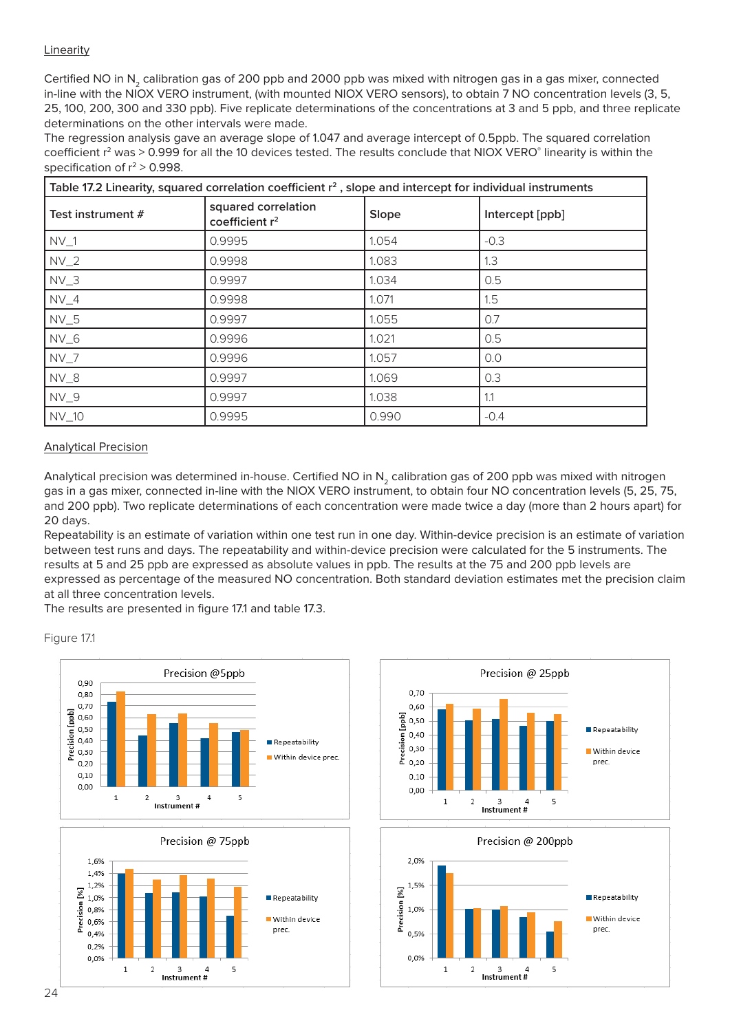### Linearity

Certified NO in N<sub>2</sub> calibration gas of 200 ppb and 2000 ppb was mixed with nitrogen gas in a gas mixer, connected in-line with the NIOX VERO instrument, (with mounted NIOX VERO sensors), to obtain 7 NO concentration levels (3, 5, 25, 100, 200, 300 and 330 ppb). Five replicate determinations of the concentrations at 3 and 5 ppb, and three replicate determinations on the other intervals were made.

The regression analysis gave an average slope of 1.047 and average intercept of 0.5ppb. The squared correlation coefficient  $r^2$  was > 0.999 for all the 10 devices tested. The results conclude that NIOX VERO $^{\circ}$  linearity is within the specification of  $r^2 > 0.998$ .

| Table 17.2 Linearity, squared correlation coefficient $r^2$ , slope and intercept for individual instruments |                                                   |       |                 |  |  |  |  |  |  |
|--------------------------------------------------------------------------------------------------------------|---------------------------------------------------|-------|-----------------|--|--|--|--|--|--|
| Test instrument #                                                                                            | squared correlation<br>coefficient r <sup>2</sup> | Slope | Intercept [ppb] |  |  |  |  |  |  |
| $NV_1$                                                                                                       | 0.9995                                            | 1.054 | $-0.3$          |  |  |  |  |  |  |
| $NV_2$                                                                                                       | 0.9998                                            | 1.083 | 1.3             |  |  |  |  |  |  |
| $NV_3$                                                                                                       | 0.9997                                            | 1.034 | 0.5             |  |  |  |  |  |  |
| $NV_4$                                                                                                       | 0.9998                                            | 1.071 | 1.5             |  |  |  |  |  |  |
| $NV_5$                                                                                                       | 0.9997                                            | 1.055 | 0.7             |  |  |  |  |  |  |
| $NV_6$                                                                                                       | 0.9996                                            | 1.021 | 0.5             |  |  |  |  |  |  |
| $NV_7$                                                                                                       | 0.9996                                            | 1.057 | 0.0             |  |  |  |  |  |  |
| $NV_8$                                                                                                       | 0.9997                                            | 1.069 | 0.3             |  |  |  |  |  |  |
| $NV_9$                                                                                                       | 0.9997                                            | 1.038 | 1.1             |  |  |  |  |  |  |
| $NV_10$                                                                                                      | 0.9995                                            | 0.990 | $-0.4$          |  |  |  |  |  |  |

#### Analytical Precision

Analytical precision was determined in-house. Certified NO in N<sub>2</sub> calibration gas of 200 ppb was mixed with nitrogen gas in a gas mixer, connected in-line with the NIOX VERO instrument, to obtain four NO concentration levels (5, 25, 75, and 200 ppb). Two replicate determinations of each concentration were made twice a day (more than 2 hours apart) for 20 days.

Repeatability is an estimate of variation within one test run in one day. Within-device precision is an estimate of variation between test runs and days. The repeatability and within-device precision were calculated for the 5 instruments. The results at 5 and 25 ppb are expressed as absolute values in ppb. The results at the 75 and 200 ppb levels are expressed as percentage of the measured NO concentration. Both standard deviation estimates met the precision claim at all three concentration levels.

The results are presented in figure 17.1 and table 17.3.

Figure 17.1



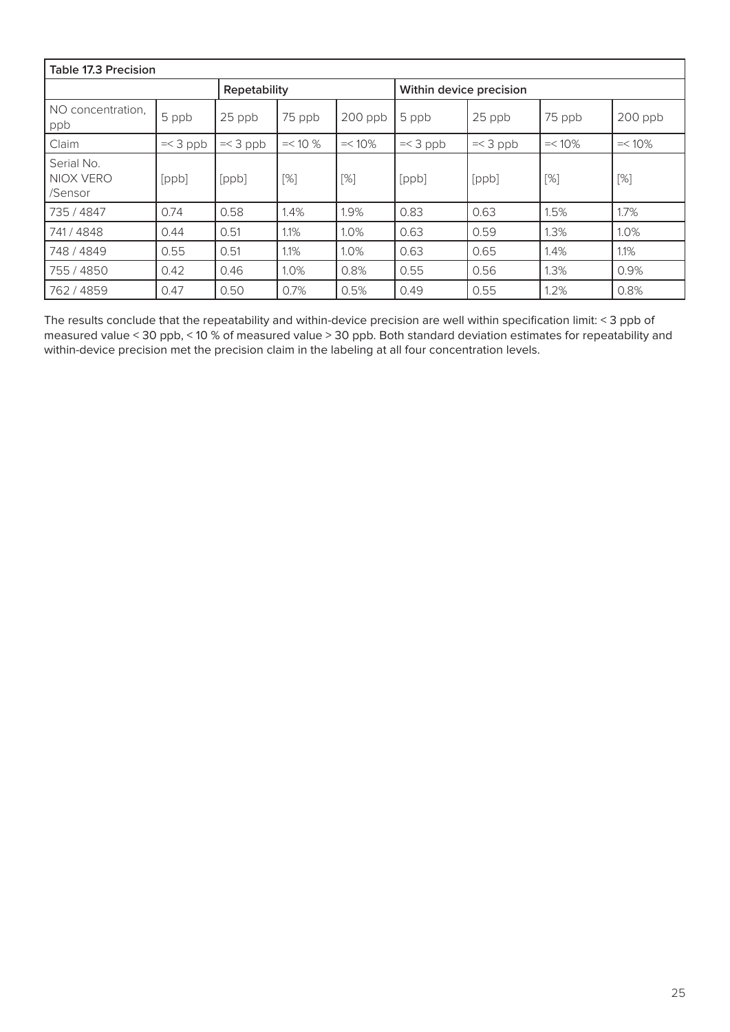| <b>Table 17.3 Precision</b>        |            |              |            |           |                         |            |           |           |
|------------------------------------|------------|--------------|------------|-----------|-------------------------|------------|-----------|-----------|
|                                    |            | Repetability |            |           | Within device precision |            |           |           |
| NO concentration,<br>ppb           | 5 ppb      | 25 ppb       | 75 ppb     | 200 ppb   | 5 ppb                   | 25 ppb     | 75 ppb    | $200$ ppb |
| Claim                              | $=<$ 3 ppb | $=<$ 3 ppb   | $=< 10 \%$ | $=< 10\%$ | $=<$ 3 ppb              | $=<$ 3 ppb | $=< 10\%$ | $=< 10\%$ |
| Serial No.<br>NIOX VERO<br>/Sensor | [ppb]      | [ppb]        | [%]        | [%]       | [ppb]                   | [ppb]      | [%]       | [%]       |
| 735 / 4847                         | 0.74       | 0.58         | 1.4%       | 1.9%      | 0.83                    | 0.63       | 1.5%      | 1.7%      |
| 741/4848                           | 0.44       | 0.51         | 1.1%       | 1.0%      | 0.63                    | 0.59       | 1.3%      | 1.0%      |
| 748 / 4849                         | 0.55       | 0.51         | 1.1%       | 1.0%      | 0.63                    | 0.65       | 1.4%      | 1.1%      |
| 755 / 4850                         | 0.42       | 0.46         | 1.0%       | 0.8%      | 0.55                    | 0.56       | 1.3%      | 0.9%      |
| 762 / 4859                         | 0.47       | 0.50         | 0.7%       | 0.5%      | 0.49                    | 0.55       | 1.2%      | 0.8%      |

The results conclude that the repeatability and within-device precision are well within specification limit: < 3 ppb of measured value < 30 ppb, < 10 % of measured value > 30 ppb. Both standard deviation estimates for repeatability and within-device precision met the precision claim in the labeling at all four concentration levels.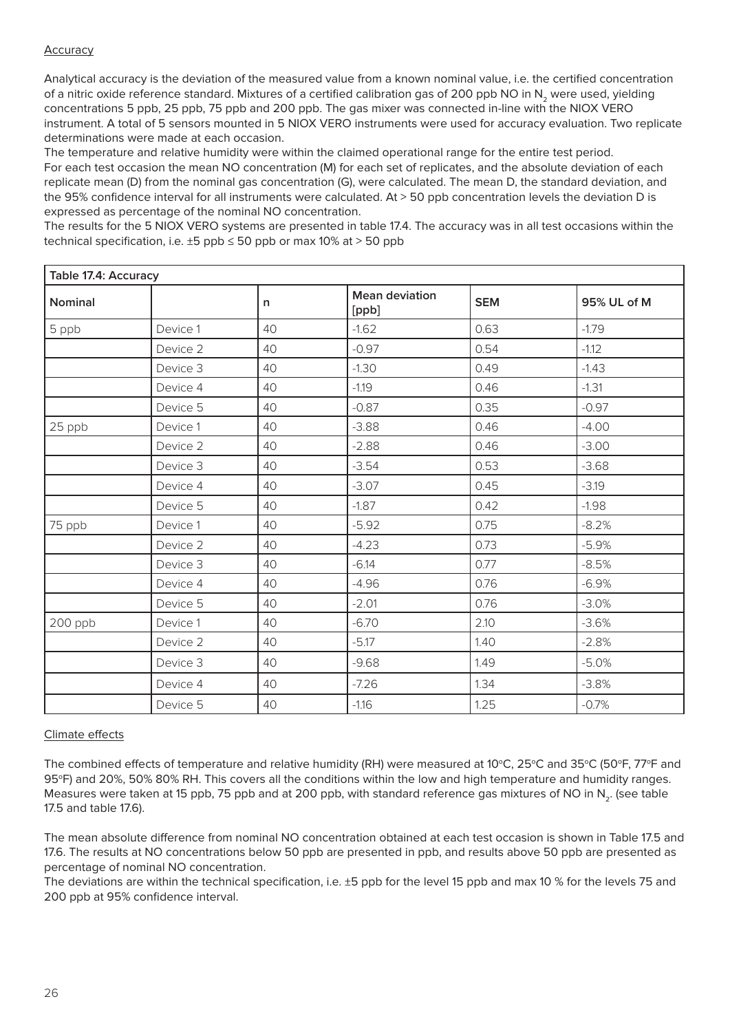### Accuracy

Analytical accuracy is the deviation of the measured value from a known nominal value, i.e. the certified concentration of a nitric oxide reference standard. Mixtures of a certified calibration gas of 200 ppb NO in N<sub>2</sub> were used, yielding concentrations 5 ppb, 25 ppb, 75 ppb and 200 ppb. The gas mixer was connected in-line with the NIOX VERO instrument. A total of 5 sensors mounted in 5 NIOX VERO instruments were used for accuracy evaluation. Two replicate determinations were made at each occasion.

The temperature and relative humidity were within the claimed operational range for the entire test period. For each test occasion the mean NO concentration (M) for each set of replicates, and the absolute deviation of each replicate mean (D) from the nominal gas concentration (G), were calculated. The mean D, the standard deviation, and the 95% confidence interval for all instruments were calculated. At > 50 ppb concentration levels the deviation D is expressed as percentage of the nominal NO concentration.

The results for the 5 NIOX VERO systems are presented in table 17.4. The accuracy was in all test occasions within the technical specification, i.e.  $\pm 5$  ppb  $\leq 50$  ppb or max 10% at > 50 ppb

| Table 17.4: Accuracy |          |    |                                |            |             |
|----------------------|----------|----|--------------------------------|------------|-------------|
| Nominal              |          | n  | <b>Mean deviation</b><br>[ppb] | <b>SEM</b> | 95% UL of M |
| 5 ppb                | Device 1 | 40 | $-1.62$                        | 0.63       | $-1.79$     |
|                      | Device 2 | 40 | $-0.97$                        | 0.54       | $-1.12$     |
|                      | Device 3 | 40 | $-1.30$                        | 0.49       | $-1.43$     |
|                      | Device 4 | 40 | $-1.19$                        | 0.46       | $-1.31$     |
|                      | Device 5 | 40 | $-0.87$                        | 0.35       | $-0.97$     |
| 25 ppb               | Device 1 | 40 | $-3.88$                        | 0.46       | $-4.00$     |
|                      | Device 2 | 40 | $-2.88$                        | 0.46       | $-3.00$     |
|                      | Device 3 | 40 | $-3.54$                        | 0.53       | $-3.68$     |
|                      | Device 4 | 40 | $-3.07$                        | 0.45       | $-3.19$     |
|                      | Device 5 | 40 | $-1.87$                        | 0.42       | $-1.98$     |
| 75 ppb               | Device 1 | 40 | $-5.92$                        | 0.75       | $-8.2%$     |
|                      | Device 2 | 40 | $-4.23$                        | 0.73       | $-5.9%$     |
|                      | Device 3 | 40 | $-6.14$                        | 0.77       | $-8.5%$     |
|                      | Device 4 | 40 | $-4.96$                        | 0.76       | $-6.9%$     |
|                      | Device 5 | 40 | $-2.01$                        | 0.76       | $-3.0%$     |
| 200 ppb              | Device 1 | 40 | $-6.70$                        | 2.10       | $-3.6%$     |
|                      | Device 2 | 40 | $-5.17$                        | 1.40       | $-2.8%$     |
|                      | Device 3 | 40 | $-9.68$                        | 1.49       | $-5.0%$     |
|                      | Device 4 | 40 | $-7.26$                        | 1.34       | $-3.8%$     |
|                      | Device 5 | 40 | $-1.16$                        | 1.25       | $-0.7%$     |

### Climate effects

The combined effects of temperature and relative humidity (RH) were measured at 10 $^{\circ}$ C, 25 $^{\circ}$ C and 35 $^{\circ}$ C (50 $^{\circ}$ F, 77 $^{\circ}$ F and 95°F) and 20%, 50% 80% RH. This covers all the conditions within the low and high temperature and humidity ranges. Measures were taken at 15 ppb, 75 ppb and at 200 ppb, with standard reference gas mixtures of NO in N<sub>2</sub>. (see table 17.5 and table 17.6).

The mean absolute difference from nominal NO concentration obtained at each test occasion is shown in Table 17.5 and 17.6. The results at NO concentrations below 50 ppb are presented in ppb, and results above 50 ppb are presented as percentage of nominal NO concentration.

The deviations are within the technical specification, i.e. ±5 ppb for the level 15 ppb and max 10 % for the levels 75 and 200 ppb at 95% confidence interval.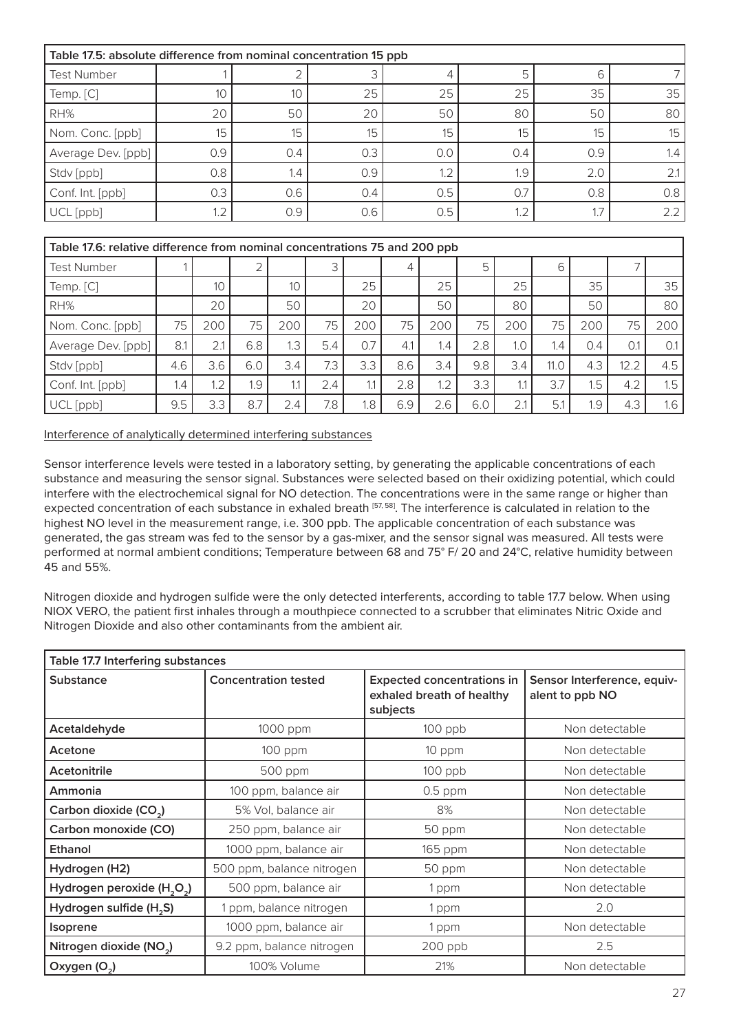| Table 17.5: absolute difference from nominal concentration 15 ppb |     |     |     |     |     |     |     |  |
|-------------------------------------------------------------------|-----|-----|-----|-----|-----|-----|-----|--|
| <b>Test Number</b>                                                |     |     | 3   |     | 5   | h   |     |  |
| Temp. [C]                                                         | 10  | 10  | 25  | 25  | 25  | 35  | 35  |  |
| RH%                                                               | 20  | 50  | 20  | 50  | 80  | 50  | 80  |  |
| Nom. Conc. [ppb]                                                  | 15  | 15  | 15  | 15  | 15  | 15  | 15  |  |
| Average Dev. [ppb]                                                | 0.9 | 0.4 | 0.3 | 0.0 | 0.4 | 0.9 | 1.4 |  |
| Stdv [ppb]                                                        | 0.8 | 1.4 | 0.9 | 1.2 | 1.9 | 2.0 | 2.1 |  |
| Conf. Int. [ppb]                                                  | 0.3 | 0.6 | 0.4 | 0.5 | 0.7 | 0.8 | 0.8 |  |
| UCL [ppb]                                                         | 1.2 | 0.9 | 0.6 | 0.5 | 1.2 |     | 2.2 |  |

|                    | Table 17.6: relative difference from nominal concentrations 75 and 200 ppb |     |     |     |     |     |     |     |     |     |      |     |              |                  |
|--------------------|----------------------------------------------------------------------------|-----|-----|-----|-----|-----|-----|-----|-----|-----|------|-----|--------------|------------------|
| <b>Test Number</b> |                                                                            |     |     |     | 3'  |     | 4   |     | 5.  |     | 6    |     |              |                  |
| Temp. [C]          |                                                                            | 10  |     | 10  |     | 25  |     | 25  |     | 25  |      | 35  |              | 35               |
| RH%                |                                                                            | 20  |     | 50  |     | 20  |     | 50  |     | 80  |      | 50  |              | 80               |
| Nom. Conc. [ppb]   | 75                                                                         | 200 | 75  | 200 | 75  | 200 | 75  | 200 | 75  | 200 | 75   | 200 | 75           | 200              |
| Average Dev. [ppb] | 8.1                                                                        | 2.1 | 6.8 | .3  | 5.4 | 0.7 | 4.1 | 1.4 | 2.8 | 1.0 | 1.4  | 0.4 | $O^{\prime}$ | O.1              |
| Stdv [ppb]         | 4.6                                                                        | 3.6 | 6.0 | 3.4 | 7.3 | 3.3 | 8.6 | 3.4 | 9.8 | 3.4 | 11.0 | 4.3 | 12.2         | 4.5              |
| Conf. Int. [ppb]   | .4                                                                         | 1.2 | 1.9 | 1.1 | 2.4 | 1.1 | 2.8 | 1.2 | 3.3 | 11  | 3.7  | 1.5 | 4.2          | 1.5              |
| UCL [ppb]          | 9.5                                                                        | 3.3 | 8.7 | 2.4 | 7.8 | 1.8 | 6.9 | 2.6 | 6.0 | 2.1 | 5.1  | 1.9 | 4.3          | 1.6 <sub>1</sub> |

Interference of analytically determined interfering substances

Sensor interference levels were tested in a laboratory setting, by generating the applicable concentrations of each substance and measuring the sensor signal. Substances were selected based on their oxidizing potential, which could interfere with the electrochemical signal for NO detection. The concentrations were in the same range or higher than expected concentration of each substance in exhaled breath [57, 58]. The interference is calculated in relation to the highest NO level in the measurement range, i.e. 300 ppb. The applicable concentration of each substance was generated, the gas stream was fed to the sensor by a gas-mixer, and the sensor signal was measured. All tests were performed at normal ambient conditions; Temperature between 68 and 75° F/ 20 and 24°C, relative humidity between 45 and 55%.

Nitrogen dioxide and hydrogen sulfide were the only detected interferents, according to table 17.7 below. When using NIOX VERO, the patient first inhales through a mouthpiece connected to a scrubber that eliminates Nitric Oxide and Nitrogen Dioxide and also other contaminants from the ambient air.

| Table 17.7 Interfering substances                  |                             |                                                                            |                                                |  |  |  |  |  |  |
|----------------------------------------------------|-----------------------------|----------------------------------------------------------------------------|------------------------------------------------|--|--|--|--|--|--|
| <b>Substance</b>                                   | <b>Concentration tested</b> | <b>Expected concentrations in</b><br>exhaled breath of healthy<br>subjects | Sensor Interference, equiv-<br>alent to ppb NO |  |  |  |  |  |  |
| Acetaldehyde                                       | 1000 ppm                    | $100$ ppb                                                                  | Non detectable                                 |  |  |  |  |  |  |
| Acetone                                            | 100 ppm                     | 10 ppm                                                                     | Non detectable                                 |  |  |  |  |  |  |
| Acetonitrile                                       | 500 ppm                     | 100 ppb                                                                    | Non detectable                                 |  |  |  |  |  |  |
| Ammonia                                            | 100 ppm, balance air        | $0.5$ ppm                                                                  | Non detectable                                 |  |  |  |  |  |  |
| Carbon dioxide (CO <sub>2</sub> )                  | 5% Vol, balance air         | 8%                                                                         | Non detectable                                 |  |  |  |  |  |  |
| Carbon monoxide (CO)                               | 250 ppm, balance air        | 50 ppm                                                                     | Non detectable                                 |  |  |  |  |  |  |
| Ethanol                                            | 1000 ppm, balance air       | 165 ppm                                                                    | Non detectable                                 |  |  |  |  |  |  |
| Hydrogen (H2)                                      | 500 ppm, balance nitrogen   | 50 ppm                                                                     | Non detectable                                 |  |  |  |  |  |  |
| Hydrogen peroxide (H <sub>2</sub> O <sub>2</sub> ) | 500 ppm, balance air        | 1 ppm                                                                      | Non detectable                                 |  |  |  |  |  |  |
| Hydrogen sulfide (H <sub>2</sub> S)                | 1 ppm, balance nitrogen     | 1 ppm                                                                      | 2.0                                            |  |  |  |  |  |  |
| <b>Isoprene</b>                                    | 1000 ppm, balance air       | 1 ppm                                                                      | Non detectable                                 |  |  |  |  |  |  |
| Nitrogen dioxide (NO <sub>2</sub> )                | 9.2 ppm, balance nitrogen   | 200 ppb                                                                    | 2.5                                            |  |  |  |  |  |  |
| Oxygen (O <sub>2</sub> )                           | 100% Volume                 | 21%                                                                        | Non detectable                                 |  |  |  |  |  |  |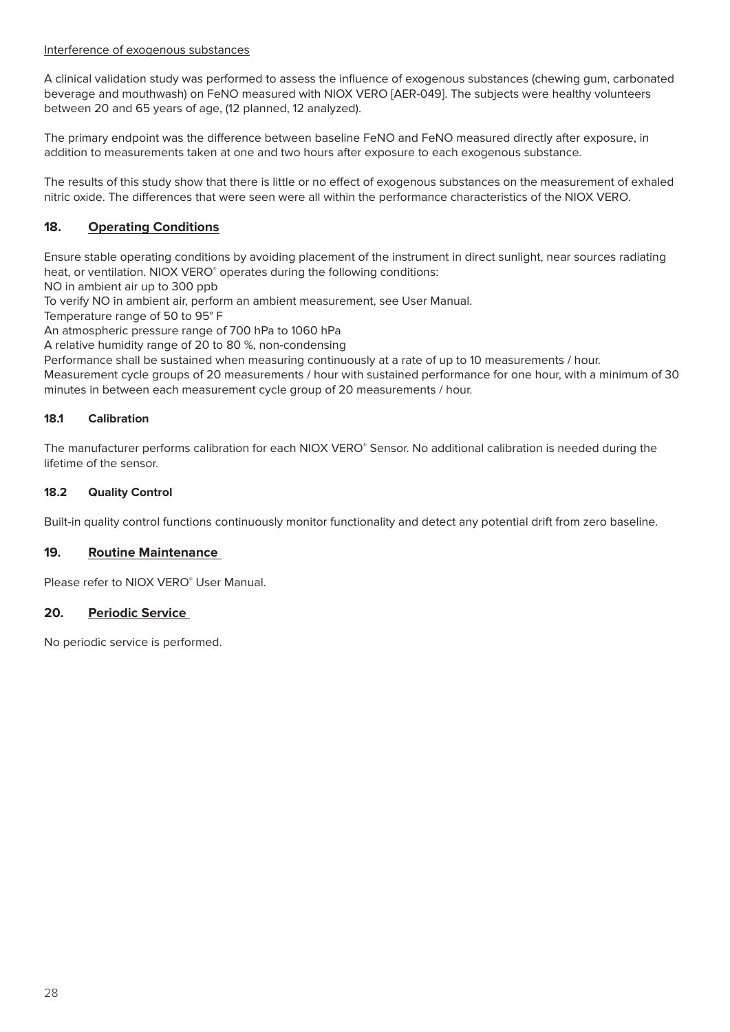#### Interference of exogenous substances

A clinical validation study was performed to assess the influence of exogenous substances (chewing gum, carbonated beverage and mouthwash) on FeNO measured with NIOX VERO [AER-049]. The subjects were healthy volunteers between 20 and 65 years of age, (12 planned, 12 analyzed).

The primary endpoint was the difference between baseline FeNO and FeNO measured directly after exposure, in addition to measurements taken at one and two hours after exposure to each exogenous substance.

The results of this study show that there is little or no effect of exogenous substances on the measurement of exhaled nitric oxide. The differences that were seen were all within the performance characteristics of the NIOX VERO.

# **18. Operating Conditions**

Ensure stable operating conditions by avoiding placement of the instrument in direct sunlight, near sources radiating heat, or ventilation. NIOX VERO® operates during the following conditions:

NO in ambient air up to 300 ppb

To verify NO in ambient air, perform an ambient measurement, see User Manual.

Temperature range of 50 to 95° F

An atmospheric pressure range of 700 hPa to 1060 hPa

A relative humidity range of 20 to 80 %, non-condensing

Performance shall be sustained when measuring continuously at a rate of up to 10 measurements / hour.

Measurement cycle groups of 20 measurements / hour with sustained performance for one hour, with a minimum of 30 minutes in between each measurement cycle group of 20 measurements / hour.

#### **18.1 Calibration**

The manufacturer performs calibration for each NIOX VERO® Sensor. No additional calibration is needed during the lifetime of the sensor.

#### **18.2 Quality Control**

Built-in quality control functions continuously monitor functionality and detect any potential drift from zero baseline.

### **19. Routine Maintenance**

Please refer to NIOX VERO® User Manual.

#### **20. Periodic Service**

No periodic service is performed.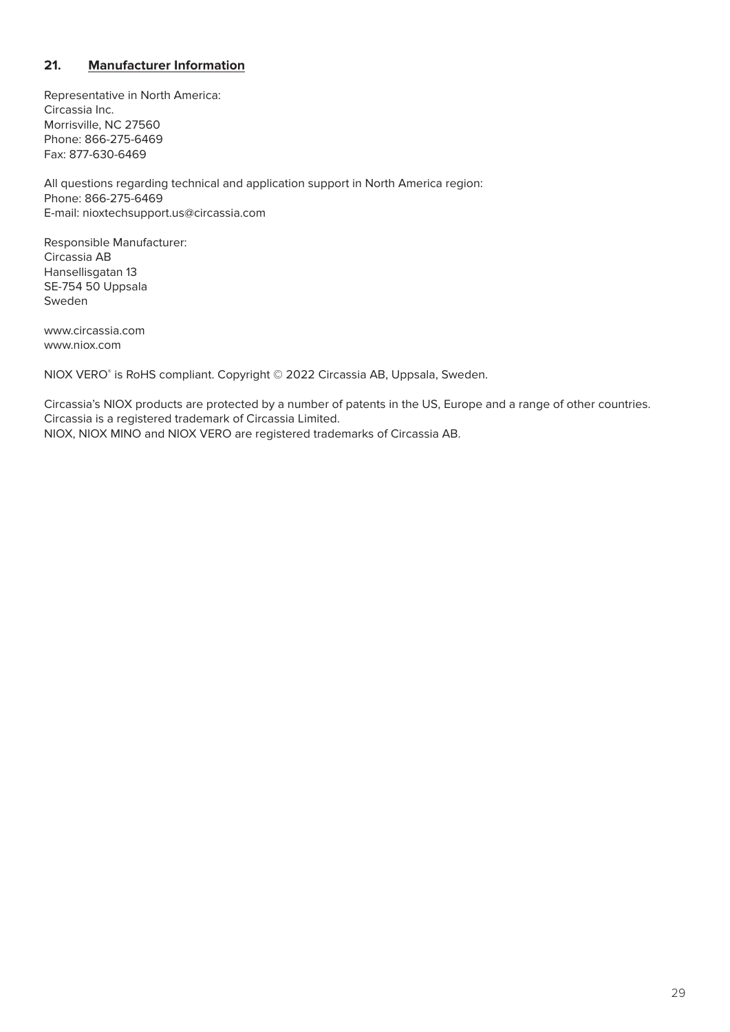# **21. Manufacturer Information**

Representative in North America: Circassia Inc. Morrisville, NC 27560 Phone: 866-275-6469 Fax: 877-630-6469

All questions regarding technical and application support in North America region: Phone: 866-275-6469 E-mail: nioxtechsupport.us@circassia.com

Responsible Manufacturer: Circassia AB Hansellisgatan 13 SE-754 50 Uppsala Sweden

www.circassia.com www.niox.com

NIOX VERO® is RoHS compliant. Copyright © 2022 Circassia AB, Uppsala, Sweden.

Circassia's NIOX products are protected by a number of patents in the US, Europe and a range of other countries. Circassia is a registered trademark of Circassia Limited. NIOX, NIOX MINO and NIOX VERO are registered trademarks of Circassia AB.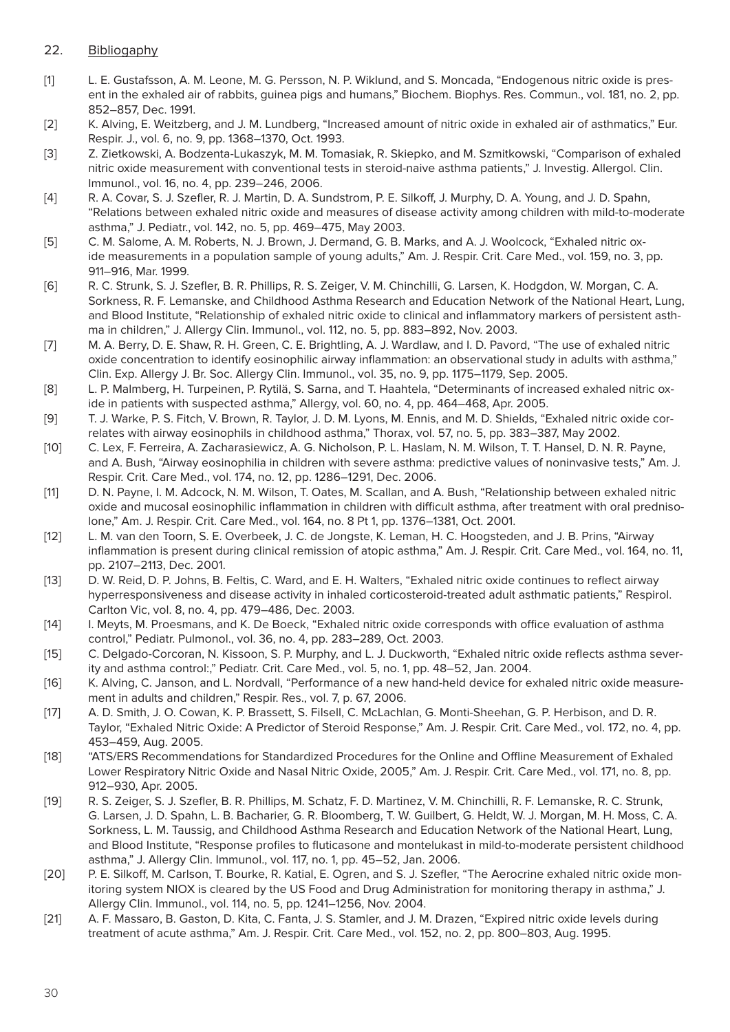# 22. Bibliogaphy

- [1] L. E. Gustafsson, A. M. Leone, M. G. Persson, N. P. Wiklund, and S. Moncada, "Endogenous nitric oxide is present in the exhaled air of rabbits, guinea pigs and humans," Biochem. Biophys. Res. Commun., vol. 181, no. 2, pp. 852–857, Dec. 1991.
- [2] K. Alving, E. Weitzberg, and J. M. Lundberg, "Increased amount of nitric oxide in exhaled air of asthmatics," Eur. Respir. J., vol. 6, no. 9, pp. 1368–1370, Oct. 1993.
- [3] Z. Zietkowski, A. Bodzenta-Lukaszyk, M. M. Tomasiak, R. Skiepko, and M. Szmitkowski, "Comparison of exhaled nitric oxide measurement with conventional tests in steroid-naive asthma patients," J. Investig. Allergol. Clin. Immunol., vol. 16, no. 4, pp. 239–246, 2006.
- [4] R. A. Covar, S. J. Szefler, R. J. Martin, D. A. Sundstrom, P. E. Silkoff, J. Murphy, D. A. Young, and J. D. Spahn, "Relations between exhaled nitric oxide and measures of disease activity among children with mild-to-moderate asthma," J. Pediatr., vol. 142, no. 5, pp. 469–475, May 2003.
- [5] C. M. Salome, A. M. Roberts, N. J. Brown, J. Dermand, G. B. Marks, and A. J. Woolcock, "Exhaled nitric oxide measurements in a population sample of young adults," Am. J. Respir. Crit. Care Med., vol. 159, no. 3, pp. 911–916, Mar. 1999.
- [6] R. C. Strunk, S. J. Szefler, B. R. Phillips, R. S. Zeiger, V. M. Chinchilli, G. Larsen, K. Hodgdon, W. Morgan, C. A. Sorkness, R. F. Lemanske, and Childhood Asthma Research and Education Network of the National Heart, Lung, and Blood Institute, "Relationship of exhaled nitric oxide to clinical and inflammatory markers of persistent asthma in children," J. Allergy Clin. Immunol., vol. 112, no. 5, pp. 883–892, Nov. 2003.
- [7] M. A. Berry, D. E. Shaw, R. H. Green, C. E. Brightling, A. J. Wardlaw, and I. D. Pavord, "The use of exhaled nitric oxide concentration to identify eosinophilic airway inflammation: an observational study in adults with asthma," Clin. Exp. Allergy J. Br. Soc. Allergy Clin. Immunol., vol. 35, no. 9, pp. 1175–1179, Sep. 2005.
- [8] L. P. Malmberg, H. Turpeinen, P. Rytilä, S. Sarna, and T. Haahtela, "Determinants of increased exhaled nitric oxide in patients with suspected asthma," Allergy, vol. 60, no. 4, pp. 464–468, Apr. 2005.
- [9] T. J. Warke, P. S. Fitch, V. Brown, R. Taylor, J. D. M. Lyons, M. Ennis, and M. D. Shields, "Exhaled nitric oxide correlates with airway eosinophils in childhood asthma," Thorax, vol. 57, no. 5, pp. 383–387, May 2002.
- [10] C. Lex, F. Ferreira, A. Zacharasiewicz, A. G. Nicholson, P. L. Haslam, N. M. Wilson, T. T. Hansel, D. N. R. Payne, and A. Bush, "Airway eosinophilia in children with severe asthma: predictive values of noninvasive tests," Am. J. Respir. Crit. Care Med., vol. 174, no. 12, pp. 1286–1291, Dec. 2006.
- [11] D. N. Payne, I. M. Adcock, N. M. Wilson, T. Oates, M. Scallan, and A. Bush, "Relationship between exhaled nitric oxide and mucosal eosinophilic inflammation in children with difficult asthma, after treatment with oral prednisolone," Am. J. Respir. Crit. Care Med., vol. 164, no. 8 Pt 1, pp. 1376–1381, Oct. 2001.
- [12] L. M. van den Toorn, S. E. Overbeek, J. C. de Jongste, K. Leman, H. C. Hoogsteden, and J. B. Prins, "Airway inflammation is present during clinical remission of atopic asthma," Am. J. Respir. Crit. Care Med., vol. 164, no. 11, pp. 2107–2113, Dec. 2001.
- [13] D. W. Reid, D. P. Johns, B. Feltis, C. Ward, and E. H. Walters, "Exhaled nitric oxide continues to reflect airway hyperresponsiveness and disease activity in inhaled corticosteroid-treated adult asthmatic patients," Respirol. Carlton Vic, vol. 8, no. 4, pp. 479–486, Dec. 2003.
- [14] I. Meyts, M. Proesmans, and K. De Boeck, "Exhaled nitric oxide corresponds with office evaluation of asthma control," Pediatr. Pulmonol., vol. 36, no. 4, pp. 283–289, Oct. 2003.
- [15] C. Delgado-Corcoran, N. Kissoon, S. P. Murphy, and L. J. Duckworth, "Exhaled nitric oxide reflects asthma severity and asthma control:," Pediatr. Crit. Care Med., vol. 5, no. 1, pp. 48–52, Jan. 2004.
- [16] K. Alving, C. Janson, and L. Nordvall, "Performance of a new hand-held device for exhaled nitric oxide measurement in adults and children," Respir. Res., vol. 7, p. 67, 2006.
- [17] A. D. Smith, J. O. Cowan, K. P. Brassett, S. Filsell, C. McLachlan, G. Monti-Sheehan, G. P. Herbison, and D. R. Taylor, "Exhaled Nitric Oxide: A Predictor of Steroid Response," Am. J. Respir. Crit. Care Med., vol. 172, no. 4, pp. 453–459, Aug. 2005.
- [18] "ATS/ERS Recommendations for Standardized Procedures for the Online and Offline Measurement of Exhaled Lower Respiratory Nitric Oxide and Nasal Nitric Oxide, 2005," Am. J. Respir. Crit. Care Med., vol. 171, no. 8, pp. 912–930, Apr. 2005.
- [19] R. S. Zeiger, S. J. Szefler, B. R. Phillips, M. Schatz, F. D. Martinez, V. M. Chinchilli, R. F. Lemanske, R. C. Strunk, G. Larsen, J. D. Spahn, L. B. Bacharier, G. R. Bloomberg, T. W. Guilbert, G. Heldt, W. J. Morgan, M. H. Moss, C. A. Sorkness, L. M. Taussig, and Childhood Asthma Research and Education Network of the National Heart, Lung, and Blood Institute, "Response profiles to fluticasone and montelukast in mild-to-moderate persistent childhood asthma," J. Allergy Clin. Immunol., vol. 117, no. 1, pp. 45–52, Jan. 2006.
- [20] P. E. Silkoff, M. Carlson, T. Bourke, R. Katial, E. Ogren, and S. J. Szefler, "The Aerocrine exhaled nitric oxide monitoring system NIOX is cleared by the US Food and Drug Administration for monitoring therapy in asthma," J. Allergy Clin. Immunol., vol. 114, no. 5, pp. 1241–1256, Nov. 2004.
- [21] A. F. Massaro, B. Gaston, D. Kita, C. Fanta, J. S. Stamler, and J. M. Drazen, "Expired nitric oxide levels during treatment of acute asthma," Am. J. Respir. Crit. Care Med., vol. 152, no. 2, pp. 800–803, Aug. 1995.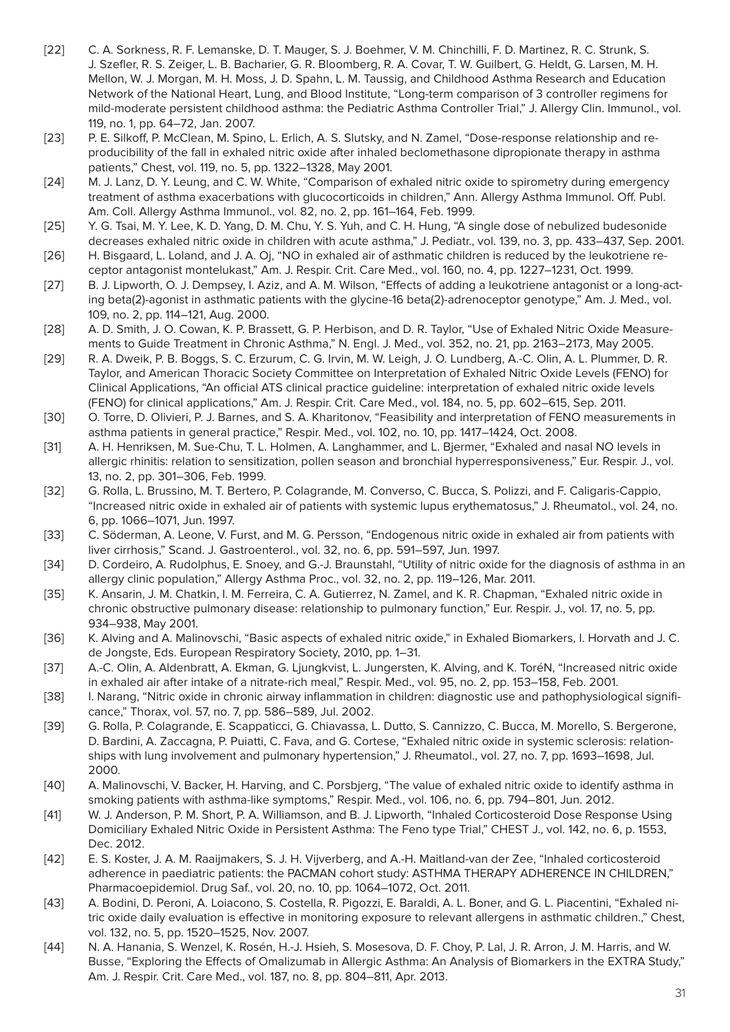- [22] C. A. Sorkness, R. F. Lemanske, D. T. Mauger, S. J. Boehmer, V. M. Chinchilli, F. D. Martinez, R. C. Strunk, S. J. Szefler, R. S. Zeiger, L. B. Bacharier, G. R. Bloomberg, R. A. Covar, T. W. Guilbert, G. Heldt, G. Larsen, M. H. Mellon, W. J. Morgan, M. H. Moss, J. D. Spahn, L. M. Taussig, and Childhood Asthma Research and Education Network of the National Heart, Lung, and Blood Institute, "Long-term comparison of 3 controller regimens for mild-moderate persistent childhood asthma: the Pediatric Asthma Controller Trial," J. Allergy Clin. Immunol., vol. 119, no. 1, pp. 64–72, Jan. 2007.
- [23] P. E. Silkoff, P. McClean, M. Spino, L. Erlich, A. S. Slutsky, and N. Zamel, "Dose-response relationship and reproducibility of the fall in exhaled nitric oxide after inhaled beclomethasone dipropionate therapy in asthma patients," Chest, vol. 119, no. 5, pp. 1322–1328, May 2001.
- [24] M. J. Lanz, D. Y. Leung, and C. W. White, "Comparison of exhaled nitric oxide to spirometry during emergency treatment of asthma exacerbations with glucocorticoids in children," Ann. Allergy Asthma Immunol. Off. Publ. Am. Coll. Allergy Asthma Immunol., vol. 82, no. 2, pp. 161–164, Feb. 1999.
- [25] Y. G. Tsai, M. Y. Lee, K. D. Yang, D. M. Chu, Y. S. Yuh, and C. H. Hung, "A single dose of nebulized budesonide decreases exhaled nitric oxide in children with acute asthma," J. Pediatr., vol. 139, no. 3, pp. 433–437, Sep. 2001.
- [26] H. Bisgaard, L. Loland, and J. A. Oj, "NO in exhaled air of asthmatic children is reduced by the leukotriene receptor antagonist montelukast," Am. J. Respir. Crit. Care Med., vol. 160, no. 4, pp. 1227–1231, Oct. 1999.
- [27] B. J. Lipworth, O. J. Dempsey, I. Aziz, and A. M. Wilson, "Effects of adding a leukotriene antagonist or a long-acting beta(2)-agonist in asthmatic patients with the glycine-16 beta(2)-adrenoceptor genotype," Am. J. Med., vol. 109, no. 2, pp. 114–121, Aug. 2000.
- [28] A. D. Smith, J. O. Cowan, K. P. Brassett, G. P. Herbison, and D. R. Taylor, "Use of Exhaled Nitric Oxide Measurements to Guide Treatment in Chronic Asthma," N. Engl. J. Med., vol. 352, no. 21, pp. 2163–2173, May 2005.
- [29] R. A. Dweik, P. B. Boggs, S. C. Erzurum, C. G. Irvin, M. W. Leigh, J. O. Lundberg, A.-C. Olin, A. L. Plummer, D. R. Taylor, and American Thoracic Society Committee on Interpretation of Exhaled Nitric Oxide Levels (FENO) for Clinical Applications, "An official ATS clinical practice guideline: interpretation of exhaled nitric oxide levels (FENO) for clinical applications," Am. J. Respir. Crit. Care Med., vol. 184, no. 5, pp. 602–615, Sep. 2011.
- [30] O. Torre, D. Olivieri, P. J. Barnes, and S. A. Kharitonov, "Feasibility and interpretation of FENO measurements in asthma patients in general practice," Respir. Med., vol. 102, no. 10, pp. 1417–1424, Oct. 2008.
- [31] A. H. Henriksen, M. Sue-Chu, T. L. Holmen, A. Langhammer, and L. Bjermer, "Exhaled and nasal NO levels in allergic rhinitis: relation to sensitization, pollen season and bronchial hyperresponsiveness," Eur. Respir. J., vol. 13, no. 2, pp. 301–306, Feb. 1999.
- [32] G. Rolla, L. Brussino, M. T. Bertero, P. Colagrande, M. Converso, C. Bucca, S. Polizzi, and F. Caligaris-Cappio, "Increased nitric oxide in exhaled air of patients with systemic lupus erythematosus," J. Rheumatol., vol. 24, no. 6, pp. 1066–1071, Jun. 1997.
- [33] C. Söderman, A. Leone, V. Furst, and M. G. Persson, "Endogenous nitric oxide in exhaled air from patients with liver cirrhosis," Scand. J. Gastroenterol., vol. 32, no. 6, pp. 591–597, Jun. 1997.
- [34] D. Cordeiro, A. Rudolphus, E. Snoey, and G.-J. Braunstahl, "Utility of nitric oxide for the diagnosis of asthma in an allergy clinic population," Allergy Asthma Proc., vol. 32, no. 2, pp. 119–126, Mar. 2011.
- [35] K. Ansarin, J. M. Chatkin, I. M. Ferreira, C. A. Gutierrez, N. Zamel, and K. R. Chapman, "Exhaled nitric oxide in chronic obstructive pulmonary disease: relationship to pulmonary function," Eur. Respir. J., vol. 17, no. 5, pp. 934–938, May 2001.
- [36] K. Alving and A. Malinovschi, "Basic aspects of exhaled nitric oxide," in Exhaled Biomarkers, I. Horvath and J. C. de Jongste, Eds. European Respiratory Society, 2010, pp. 1–31.
- [37] A.-C. Olin, A. Aldenbratt, A. Ekman, G. Ljungkvist, L. Jungersten, K. Alving, and K. ToréN, "Increased nitric oxide in exhaled air after intake of a nitrate-rich meal," Respir. Med., vol. 95, no. 2, pp. 153–158, Feb. 2001.
- [38] I. Narang, "Nitric oxide in chronic airway inflammation in children: diagnostic use and pathophysiological significance," Thorax, vol. 57, no. 7, pp. 586–589, Jul. 2002.
- [39] G. Rolla, P. Colagrande, E. Scappaticci, G. Chiavassa, L. Dutto, S. Cannizzo, C. Bucca, M. Morello, S. Bergerone, D. Bardini, A. Zaccagna, P. Puiatti, C. Fava, and G. Cortese, "Exhaled nitric oxide in systemic sclerosis: relationships with lung involvement and pulmonary hypertension," J. Rheumatol., vol. 27, no. 7, pp. 1693–1698, Jul. 2000.
- [40] A. Malinovschi, V. Backer, H. Harving, and C. Porsbjerg, "The value of exhaled nitric oxide to identify asthma in smoking patients with asthma-like symptoms," Respir. Med., vol. 106, no. 6, pp. 794–801, Jun. 2012.
- [41] W. J. Anderson, P. M. Short, P. A. Williamson, and B. J. Lipworth, "Inhaled Corticosteroid Dose Response Using Domiciliary Exhaled Nitric Oxide in Persistent Asthma: The Feno type Trial," CHEST J., vol. 142, no. 6, p. 1553, Dec. 2012.
- [42] E. S. Koster, J. A. M. Raaijmakers, S. J. H. Vijverberg, and A.-H. Maitland-van der Zee, "Inhaled corticosteroid adherence in paediatric patients: the PACMAN cohort study: ASTHMA THERAPY ADHERENCE IN CHILDREN," Pharmacoepidemiol. Drug Saf., vol. 20, no. 10, pp. 1064–1072, Oct. 2011.
- [43] A. Bodini, D. Peroni, A. Loiacono, S. Costella, R. Pigozzi, E. Baraldi, A. L. Boner, and G. L. Piacentini, "Exhaled nitric oxide daily evaluation is effective in monitoring exposure to relevant allergens in asthmatic children.," Chest, vol. 132, no. 5, pp. 1520–1525, Nov. 2007.
- [44] N. A. Hanania, S. Wenzel, K. Rosén, H.-J. Hsieh, S. Mosesova, D. F. Choy, P. Lal, J. R. Arron, J. M. Harris, and W. Busse, "Exploring the Effects of Omalizumab in Allergic Asthma: An Analysis of Biomarkers in the EXTRA Study," Am. J. Respir. Crit. Care Med., vol. 187, no. 8, pp. 804–811, Apr. 2013.